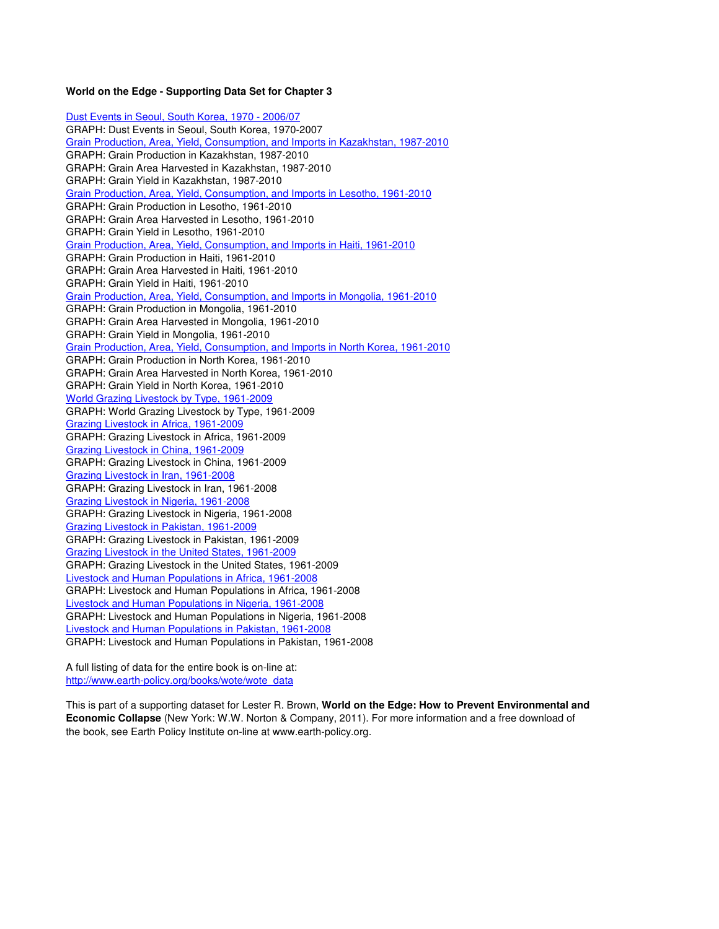#### **World on the Edge - Supporting Data Set for Chapter 3**

Dust Events in Seoul, South Korea, 1970 - 2006/07 GRAPH: Dust Events in Seoul, South Korea, 1970-2007 Grain Production, Area, Yield, Consumption, and Imports in Kazakhstan, 1987-2010 GRAPH: Grain Production in Kazakhstan, 1987-2010 GRAPH: Grain Area Harvested in Kazakhstan, 1987-2010 GRAPH: Grain Yield in Kazakhstan, 1987-2010 Grain Production, Area, Yield, Consumption, and Imports in Lesotho, 1961-2010 GRAPH: Grain Production in Lesotho, 1961-2010 GRAPH: Grain Area Harvested in Lesotho, 1961-2010 GRAPH: Grain Yield in Lesotho, 1961-2010 Grain Production, Area, Yield, Consumption, and Imports in Haiti, 1961-2010 GRAPH: Grain Production in Haiti, 1961-2010 GRAPH: Grain Area Harvested in Haiti, 1961-2010 GRAPH: Grain Yield in Haiti, 1961-2010 Grain Production, Area, Yield, Consumption, and Imports in Mongolia, 1961-2010 GRAPH: Grain Production in Mongolia, 1961-2010 GRAPH: Grain Area Harvested in Mongolia, 1961-2010 GRAPH: Grain Yield in Mongolia, 1961-2010 Grain Production, Area, Yield, Consumption, and Imports in North Korea, 1961-2010 GRAPH: Grain Production in North Korea, 1961-2010 GRAPH: Grain Area Harvested in North Korea, 1961-2010 GRAPH: Grain Yield in North Korea, 1961-2010 World Grazing Livestock by Type, 1961-2009 GRAPH: World Grazing Livestock by Type, 1961-2009 Grazing Livestock in Africa, 1961-2009 GRAPH: Grazing Livestock in Africa, 1961-2009 Grazing Livestock in China, 1961-2009 GRAPH: Grazing Livestock in China, 1961-2009 Grazing Livestock in Iran, 1961-2008 GRAPH: Grazing Livestock in Iran, 1961-2008 Grazing Livestock in Nigeria, 1961-2008 GRAPH: Grazing Livestock in Nigeria, 1961-2008 Grazing Livestock in Pakistan, 1961-2009 GRAPH: Grazing Livestock in Pakistan, 1961-2009 Grazing Livestock in the United States, 1961-2009 GRAPH: Grazing Livestock in the United States, 1961-2009 Livestock and Human Populations in Africa, 1961-2008 GRAPH: Livestock and Human Populations in Africa, 1961-2008 Livestock and Human Populations in Nigeria, 1961-2008 GRAPH: Livestock and Human Populations in Nigeria, 1961-2008 Livestock and Human Populations in Pakistan, 1961-2008 GRAPH: Livestock and Human Populations in Pakistan, 1961-2008

A full listing of data for the entire book is on-line at: http://www.earth-policy.org/books/wote/wote\_data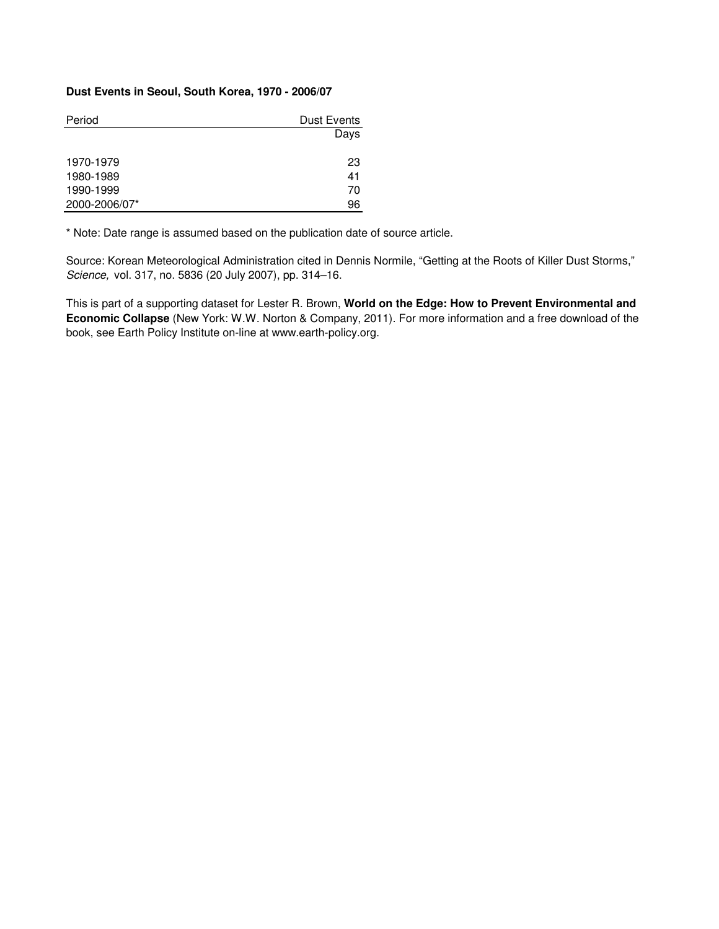#### **Dust Events in Seoul, South Korea, 1970 - 2006/07**

| Period        | Dust Events |
|---------------|-------------|
|               | Days        |
|               |             |
| 1970-1979     | 23          |
| 1980-1989     | 41          |
| 1990-1999     | 70          |
| 2000-2006/07* | 96          |

\* Note: Date range is assumed based on the publication date of source article.

Source: Korean Meteorological Administration cited in Dennis Normile, "Getting at the Roots of Killer Dust Storms," Science, vol. 317, no. 5836 (20 July 2007), pp. 314–16.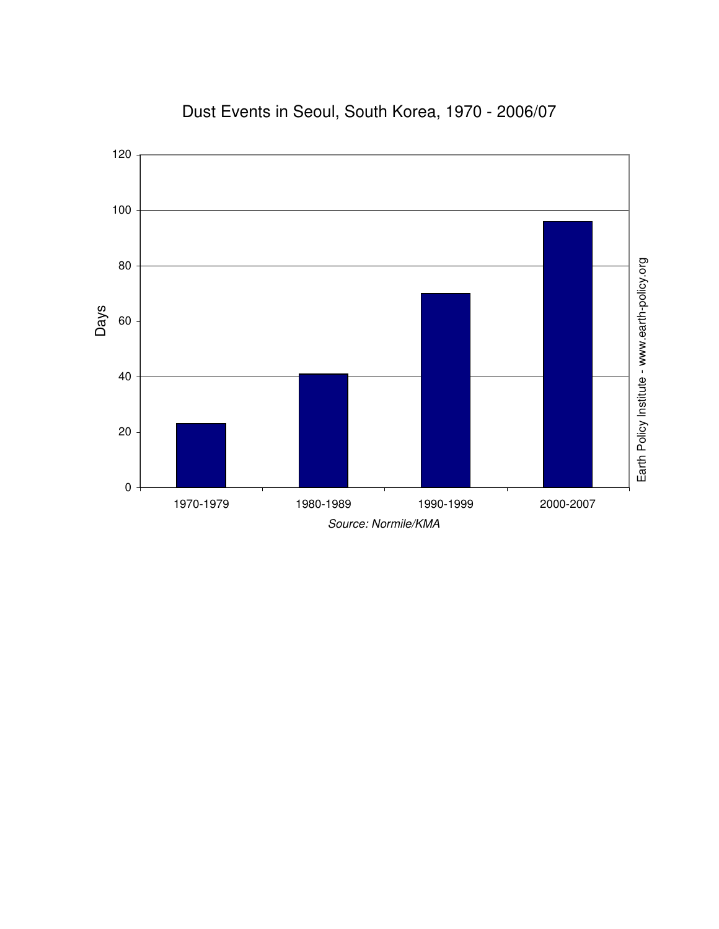

### Dust Events in Seoul, South Korea, 1970 - 2006/07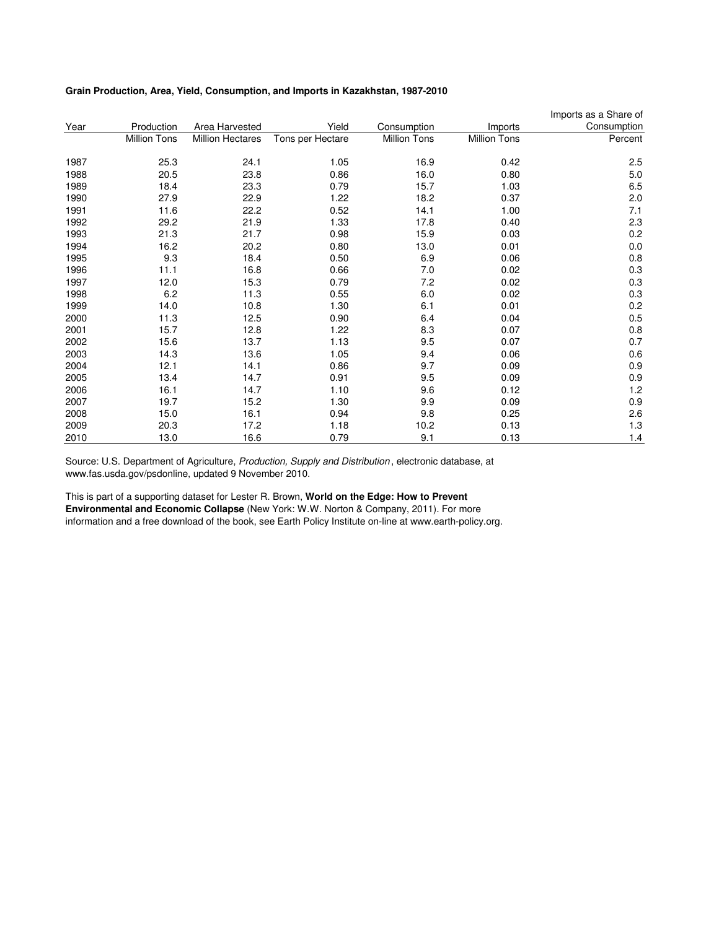#### **Grain Production, Area, Yield, Consumption, and Imports in Kazakhstan, 1987-2010**

|      |                     |                         |                  |                     |                     | Imports as a Share of |
|------|---------------------|-------------------------|------------------|---------------------|---------------------|-----------------------|
| Year | Production          | Area Harvested          | Yield            | Consumption         | Imports             | Consumption           |
|      | <b>Million Tons</b> | <b>Million Hectares</b> | Tons per Hectare | <b>Million Tons</b> | <b>Million Tons</b> | Percent               |
| 1987 | 25.3                | 24.1                    | 1.05             | 16.9                | 0.42                | 2.5                   |
| 1988 | 20.5                | 23.8                    | 0.86             | 16.0                | 0.80                | 5.0                   |
| 1989 | 18.4                | 23.3                    | 0.79             | 15.7                | 1.03                | 6.5                   |
| 1990 | 27.9                | 22.9                    | 1.22             | 18.2                | 0.37                | 2.0                   |
| 1991 | 11.6                | 22.2                    | 0.52             | 14.1                | 1.00                | 7.1                   |
| 1992 | 29.2                | 21.9                    | 1.33             | 17.8                | 0.40                | 2.3                   |
| 1993 | 21.3                | 21.7                    | 0.98             | 15.9                | 0.03                | 0.2                   |
| 1994 | 16.2                | 20.2                    | 0.80             | 13.0                | 0.01                | 0.0                   |
| 1995 | 9.3                 | 18.4                    | 0.50             | 6.9                 | 0.06                | 0.8                   |
| 1996 | 11.1                | 16.8                    | 0.66             | 7.0                 | 0.02                | 0.3                   |
| 1997 | 12.0                | 15.3                    | 0.79             | 7.2                 | 0.02                | 0.3                   |
| 1998 | 6.2                 | 11.3                    | 0.55             | 6.0                 | 0.02                | 0.3                   |
| 1999 | 14.0                | 10.8                    | 1.30             | 6.1                 | 0.01                | 0.2                   |
| 2000 | 11.3                | 12.5                    | 0.90             | 6.4                 | 0.04                | 0.5                   |
| 2001 | 15.7                | 12.8                    | 1.22             | 8.3                 | 0.07                | 0.8                   |
| 2002 | 15.6                | 13.7                    | 1.13             | 9.5                 | 0.07                | 0.7                   |
| 2003 | 14.3                | 13.6                    | 1.05             | 9.4                 | 0.06                | 0.6                   |
| 2004 | 12.1                | 14.1                    | 0.86             | 9.7                 | 0.09                | 0.9                   |
| 2005 | 13.4                | 14.7                    | 0.91             | 9.5                 | 0.09                | 0.9                   |
| 2006 | 16.1                | 14.7                    | 1.10             | 9.6                 | 0.12                | 1.2                   |
| 2007 | 19.7                | 15.2                    | 1.30             | 9.9                 | 0.09                | 0.9                   |
| 2008 | 15.0                | 16.1                    | 0.94             | 9.8                 | 0.25                | 2.6                   |
| 2009 | 20.3                | 17.2                    | 1.18             | 10.2                | 0.13                | 1.3                   |
| 2010 | 13.0                | 16.6                    | 0.79             | 9.1                 | 0.13                | 1.4                   |

Source: U.S. Department of Agriculture, Production, Supply and Distribution, electronic database, at www.fas.usda.gov/psdonline, updated 9 November 2010.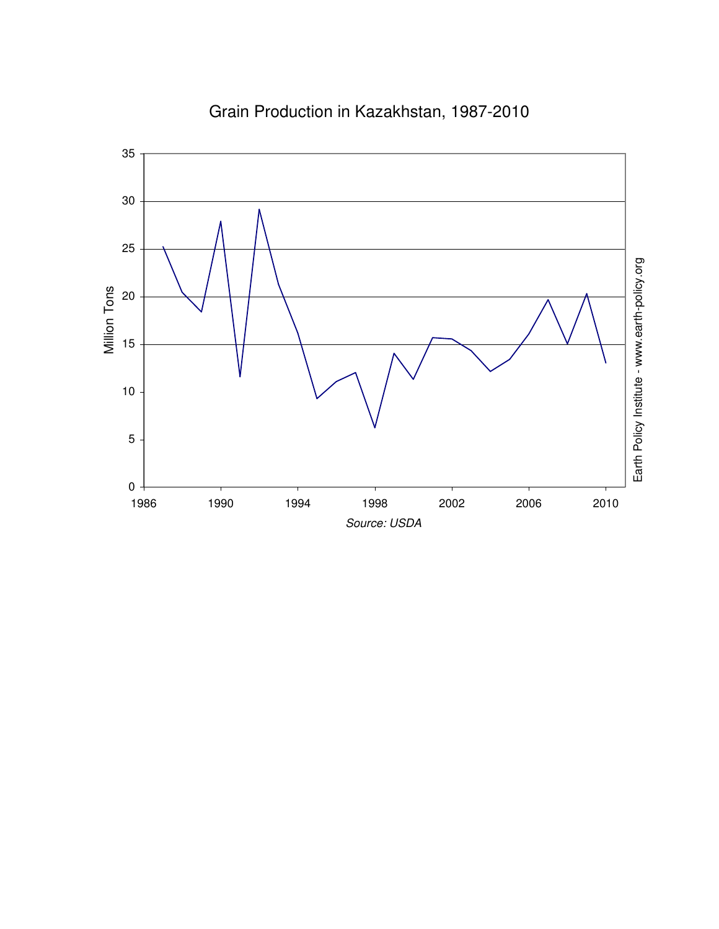

# Grain Production in Kazakhstan, 1987-2010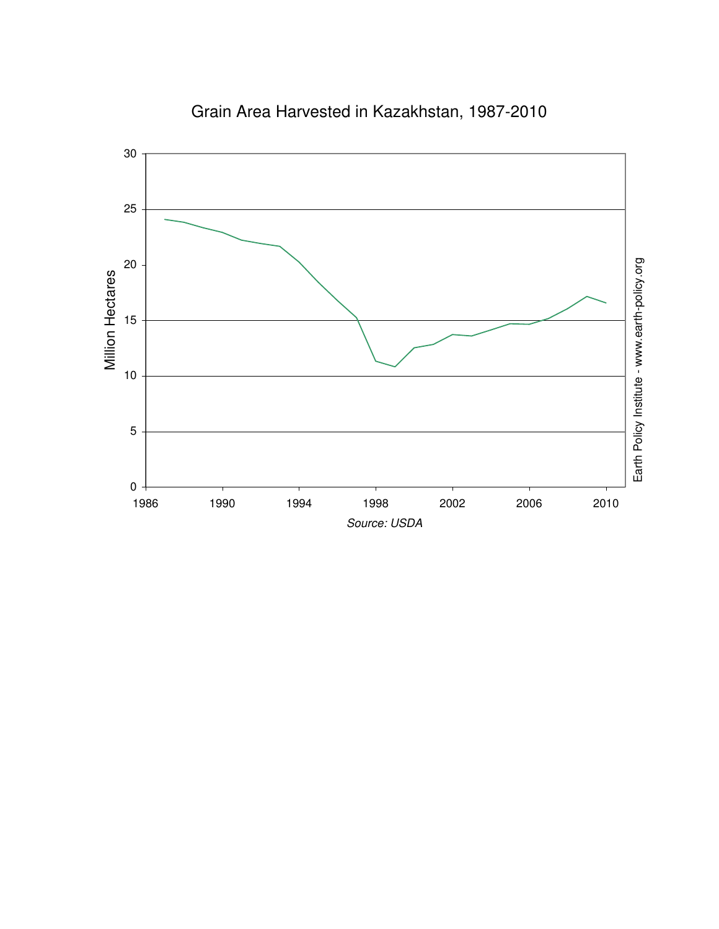

Grain Area Harvested in Kazakhstan, 1987-2010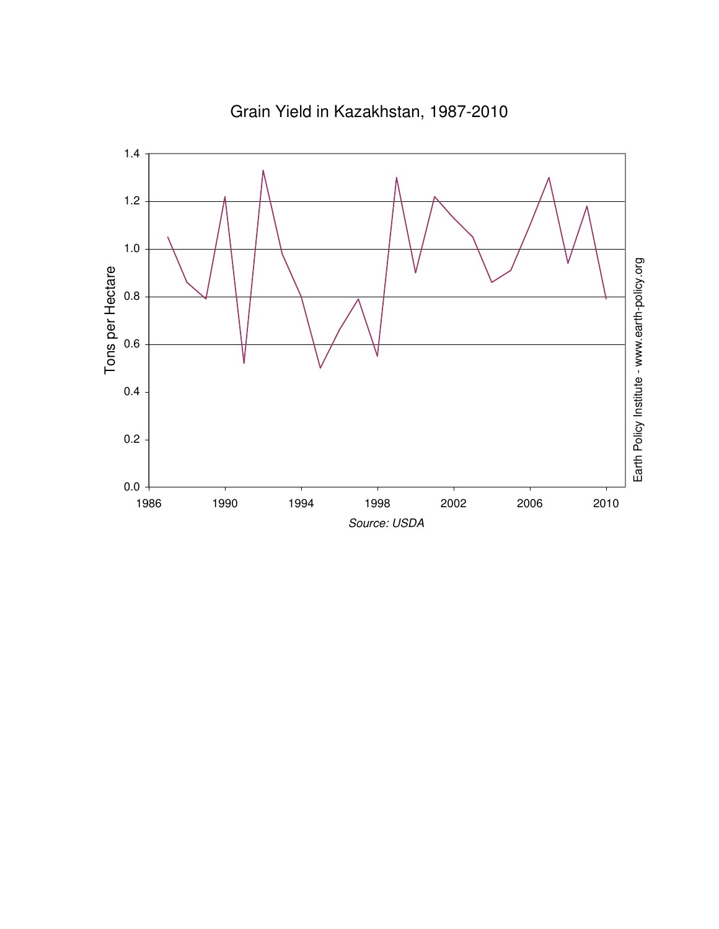

Grain Yield in Kazakhstan, 1987-2010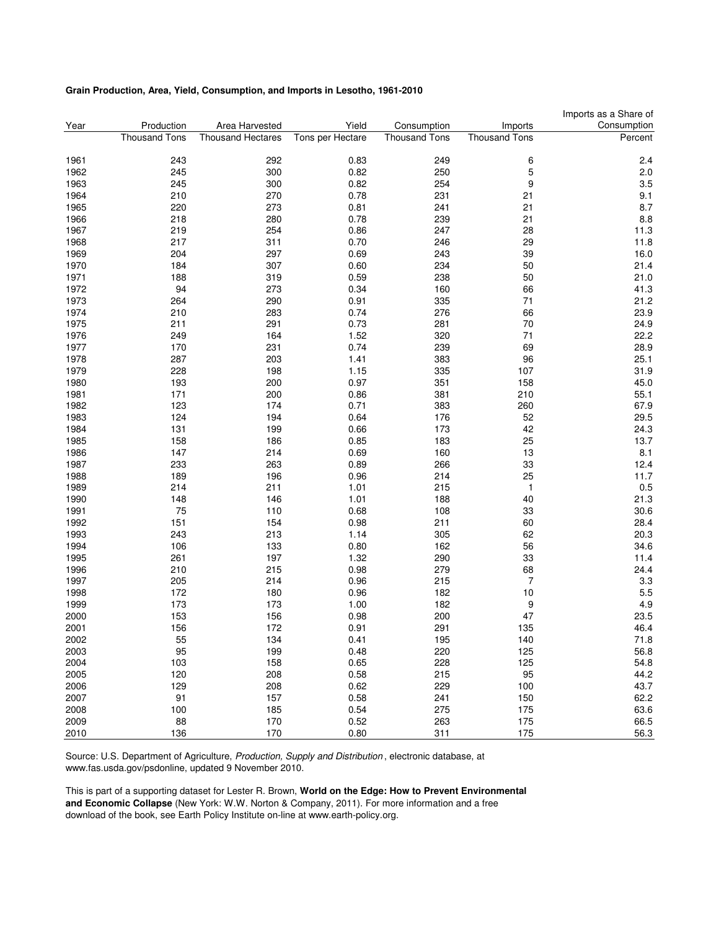#### **Grain Production, Area, Yield, Consumption, and Imports in Lesotho, 1961-2010**

|      |                      |                          |                  |                      |                      | Imports as a Share of |
|------|----------------------|--------------------------|------------------|----------------------|----------------------|-----------------------|
| Year | Production           | Area Harvested           | Yield            | Consumption          | Imports              | Consumption           |
|      | <b>Thousand Tons</b> | <b>Thousand Hectares</b> | Tons per Hectare | <b>Thousand Tons</b> | <b>Thousand Tons</b> | Percent               |
|      |                      |                          |                  |                      |                      |                       |
| 1961 | 243                  | 292                      | 0.83             | 249                  | 6                    | 2.4                   |
| 1962 | 245                  | 300                      | 0.82             | 250                  | 5                    | 2.0                   |
| 1963 | 245                  | 300                      | 0.82             | 254                  | 9                    | 3.5                   |
| 1964 | 210                  | 270                      | 0.78             | 231                  | 21                   | 9.1                   |
| 1965 | 220                  | 273                      | 0.81             | 241                  | 21                   | 8.7                   |
| 1966 | 218                  | 280                      | 0.78             | 239                  | 21                   | 8.8                   |
| 1967 | 219                  | 254                      | 0.86             | 247                  | 28                   | 11.3                  |
| 1968 | 217                  | 311                      | 0.70             | 246                  | 29                   | 11.8                  |
| 1969 | 204                  | 297                      | 0.69             | 243                  | 39                   | 16.0                  |
| 1970 | 184                  | 307                      | 0.60             | 234                  | 50                   | 21.4                  |
| 1971 | 188                  | 319                      | 0.59             | 238                  | 50                   | 21.0                  |
| 1972 | 94                   | 273                      | 0.34             | 160                  | 66                   | 41.3                  |
| 1973 | 264                  | 290                      | 0.91             | 335                  | 71                   | 21.2                  |
| 1974 | 210                  | 283                      | 0.74             | 276                  | 66                   | 23.9                  |
| 1975 | 211                  | 291                      | 0.73             | 281                  | 70                   | 24.9                  |
| 1976 | 249                  | 164                      | 1.52             | 320                  | 71                   | 22.2                  |
| 1977 | 170                  | 231                      | 0.74             | 239                  | 69                   | 28.9                  |
| 1978 | 287                  | 203                      | 1.41             | 383                  | 96                   | 25.1                  |
| 1979 | 228                  | 198                      | 1.15             | 335                  | 107                  | 31.9                  |
| 1980 | 193                  | 200                      | 0.97             | 351                  | 158                  | 45.0                  |
| 1981 | 171                  | 200                      | 0.86             | 381                  | 210                  | 55.1                  |
| 1982 | 123                  | 174                      | 0.71             | 383                  | 260                  | 67.9                  |
| 1983 | 124                  | 194                      | 0.64             | 176                  | 52                   | 29.5                  |
| 1984 | 131                  | 199                      | 0.66             | 173                  | 42                   | 24.3                  |
| 1985 | 158                  | 186                      | 0.85             | 183                  | 25                   | 13.7                  |
| 1986 | 147                  | 214                      | 0.69             | 160                  | 13                   | 8.1                   |
| 1987 | 233                  | 263                      | 0.89             | 266                  | 33                   | 12.4                  |
| 1988 | 189                  | 196                      | 0.96             | 214                  | 25                   | 11.7                  |
| 1989 | 214                  | 211                      | 1.01             | 215                  | 1                    | 0.5                   |
| 1990 | 148                  | 146                      | 1.01             | 188                  | 40                   | 21.3                  |
| 1991 | 75                   | 110                      | 0.68             | 108                  | 33                   | 30.6                  |
| 1992 | 151                  | 154                      | 0.98             | 211                  | 60                   | 28.4                  |
| 1993 | 243                  | 213                      | 1.14             | 305                  | 62                   | 20.3                  |
| 1994 | 106                  | 133                      | 0.80             | 162                  | 56                   | 34.6                  |
| 1995 | 261                  | 197                      | 1.32             | 290                  | 33                   | 11.4                  |
| 1996 | 210                  | 215                      | 0.98             | 279                  | 68                   | 24.4                  |
| 1997 | 205                  | 214                      | 0.96             | 215                  | $\boldsymbol{7}$     | 3.3                   |
| 1998 | 172                  | 180                      | 0.96             | 182                  | 10                   | 5.5                   |
| 1999 | 173                  | 173                      | 1.00             | 182                  | 9                    | 4.9                   |
| 2000 | 153                  | 156                      | 0.98             | 200                  | 47                   | 23.5                  |
| 2001 | 156                  | 172                      | 0.91             | 291                  | 135                  | 46.4                  |
| 2002 | 55                   | 134                      | 0.41             |                      | 140                  |                       |
| 2003 | 95                   | 199                      | 0.48             | 195<br>220           | 125                  | 71.8<br>56.8          |
| 2004 | 103                  | 158                      | 0.65             | 228                  | 125                  | 54.8                  |
| 2005 | 120                  | 208                      | 0.58             | 215                  | 95                   | 44.2                  |
| 2006 | 129                  | 208                      | 0.62             | 229                  | 100                  | 43.7                  |
| 2007 | 91                   | 157                      | 0.58             | 241                  |                      | 62.2                  |
| 2008 | 100                  |                          | 0.54             | 275                  | 150                  | 63.6                  |
| 2009 | 88                   | 185<br>170               | 0.52             | 263                  | 175<br>175           | 66.5                  |
| 2010 | 136                  | 170                      | 0.80             | 311                  | 175                  | 56.3                  |
|      |                      |                          |                  |                      |                      |                       |

Source: U.S. Department of Agriculture, Production, Supply and Distribution , electronic database, at www.fas.usda.gov/psdonline, updated 9 November 2010.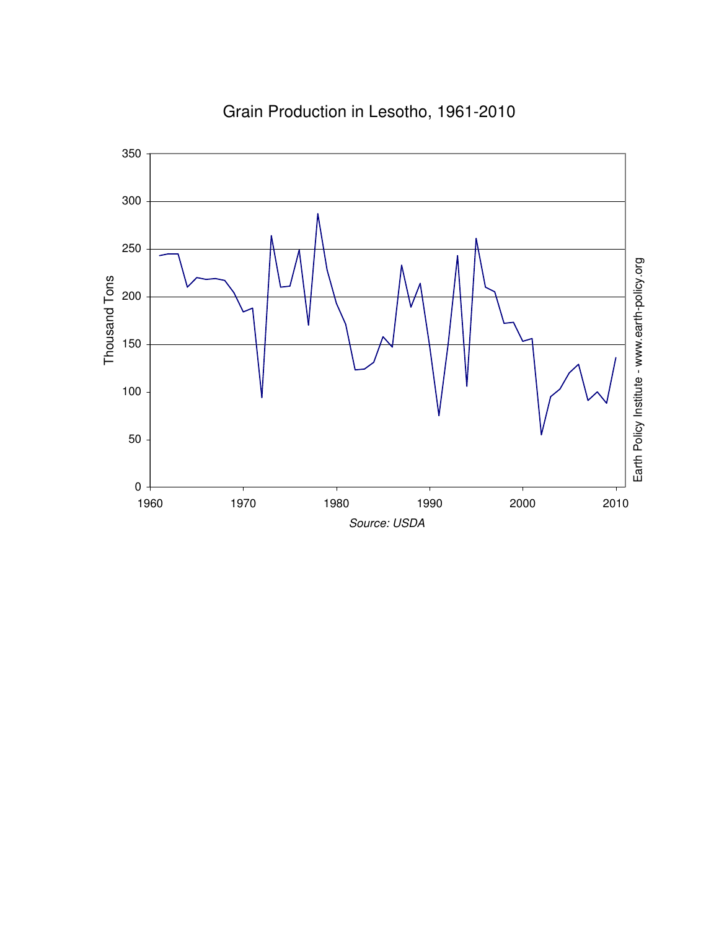

# Grain Production in Lesotho, 1961-2010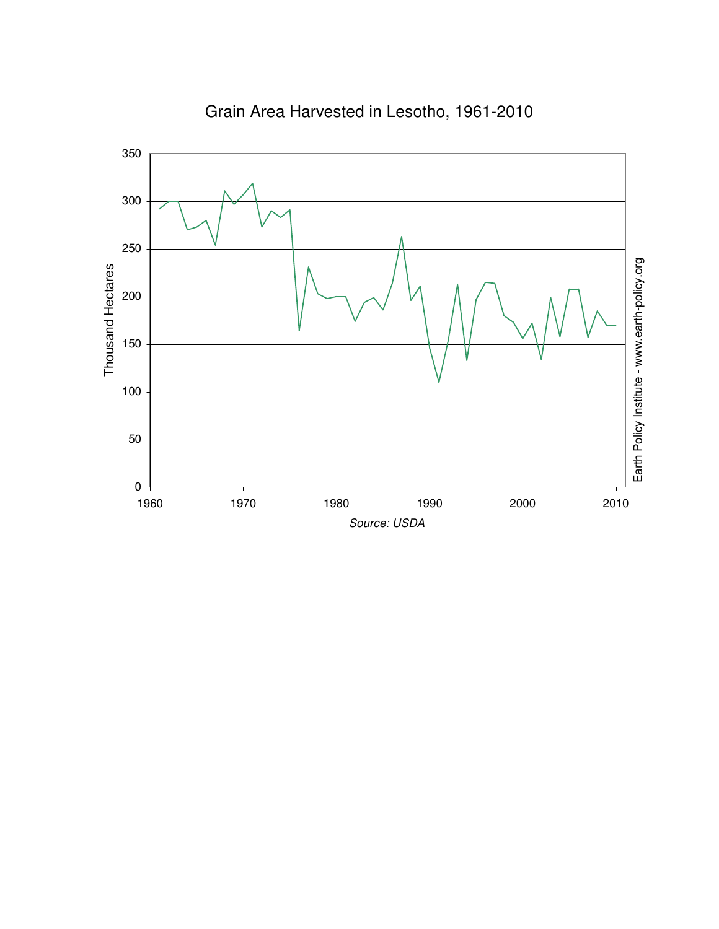

Grain Area Harvested in Lesotho, 1961-2010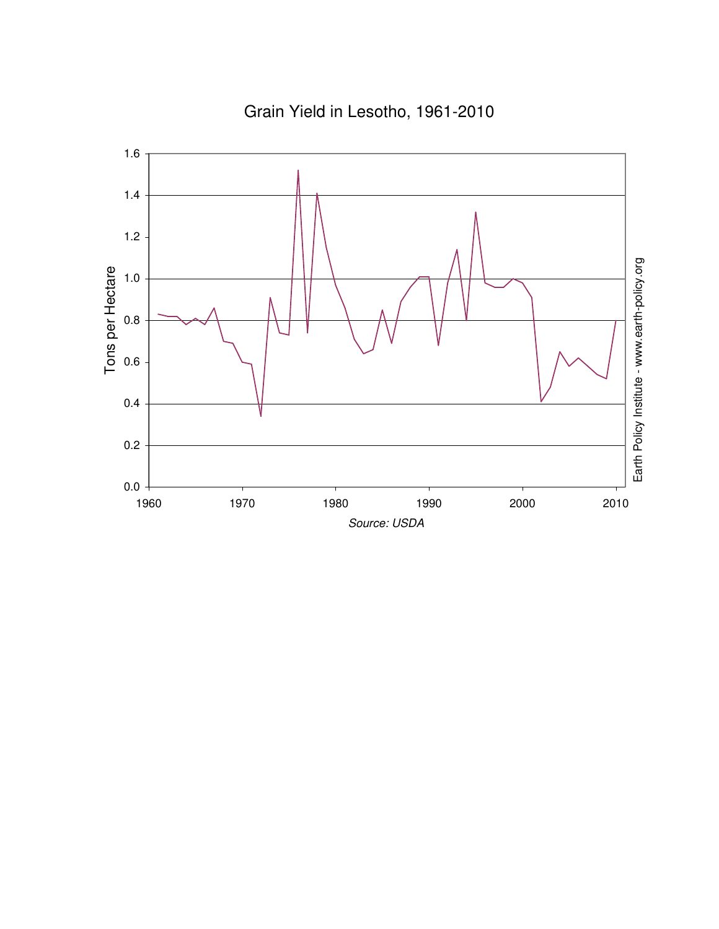

Grain Yield in Lesotho, 1961-2010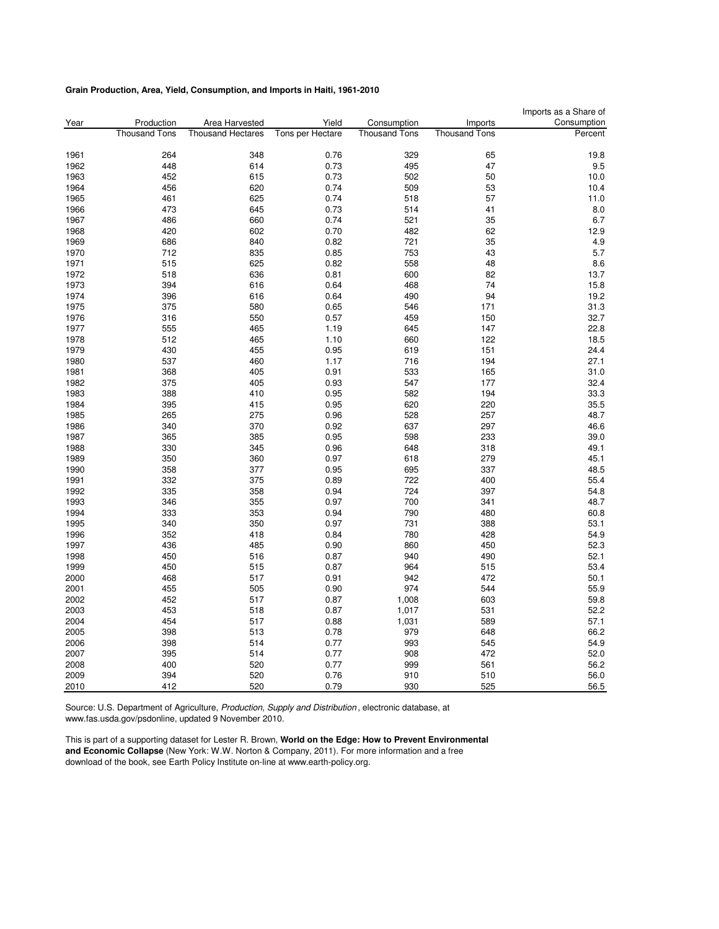#### **Grain Production, Area, Yield, Consumption, and Imports in Haiti, 1961-2010**

|      |                      |                          |                  |                      |                      | Imports as a Share of |
|------|----------------------|--------------------------|------------------|----------------------|----------------------|-----------------------|
| Year | Production           | Area Harvested           | Yield            | Consumption          | Imports              | Consumption           |
|      | <b>Thousand Tons</b> | <b>Thousand Hectares</b> | Tons per Hectare | <b>Thousand Tons</b> | <b>Thousand Tons</b> | Percent               |
| 1961 | 264                  | 348                      | 0.76             | 329                  | 65                   | 19.8                  |
| 1962 | 448                  | 614                      | 0.73             | 495                  | 47                   | 9.5                   |
| 1963 | 452                  | 615                      | 0.73             | 502                  | 50                   | 10.0                  |
| 1964 | 456                  | 620                      | 0.74             | 509                  | 53                   | 10.4                  |
| 1965 | 461                  | 625                      | 0.74             | 518                  | 57                   | 11.0                  |
| 1966 | 473                  | 645                      | 0.73             | 514                  | 41                   | 8.0                   |
| 1967 | 486                  | 660                      | 0.74             | 521                  | 35                   | 6.7                   |
| 1968 | 420                  | 602                      | 0.70             | 482                  | 62                   | 12.9                  |
| 1969 | 686                  | 840                      | 0.82             | 721                  | 35                   | 4.9                   |
| 1970 | 712                  | 835                      | 0.85             | 753                  | 43                   | 5.7                   |
| 1971 | 515                  | 625                      | 0.82             | 558                  | 48                   | 8.6                   |
| 1972 | 518                  | 636                      | 0.81             | 600                  | 82                   | 13.7                  |
| 1973 | 394                  | 616                      | 0.64             | 468                  | 74                   | 15.8                  |
| 1974 | 396                  | 616                      | 0.64             | 490                  | 94                   | 19.2                  |
| 1975 | 375                  | 580                      | 0.65             | 546                  | 171                  | 31.3                  |
| 1976 | 316                  | 550                      | 0.57             | 459                  | 150                  | 32.7                  |
| 1977 | 555                  | 465                      | 1.19             | 645                  | 147                  | 22.8                  |
| 1978 | 512                  | 465                      | 1.10             | 660                  | 122                  | 18.5                  |
| 1979 | 430                  | 455                      | 0.95             | 619                  | 151                  | 24.4                  |
| 1980 | 537                  | 460                      | 1.17             | 716                  | 194                  | 27.1                  |
| 1981 | 368                  | 405                      | 0.91             | 533                  | 165                  | 31.0                  |
| 1982 | 375                  | 405                      | 0.93             | 547                  | 177                  | 32.4                  |
| 1983 | 388                  | 410                      | 0.95             | 582                  | 194                  | 33.3                  |
| 1984 | 395                  | 415                      | 0.95             | 620                  | 220                  | 35.5                  |
| 1985 | 265                  | 275                      | 0.96             | 528                  | 257                  | 48.7                  |
| 1986 | 340                  | 370                      | 0.92             | 637                  | 297                  | 46.6                  |
| 1987 | 365                  | 385                      | 0.95             | 598                  | 233                  | 39.0                  |
| 1988 | 330                  | 345                      | 0.96             | 648                  | 318                  | 49.1                  |
| 1989 | 350                  | 360                      | 0.97             | 618                  | 279                  | 45.1                  |
| 1990 | 358                  | 377                      | 0.95             | 695                  | 337                  | 48.5                  |
| 1991 | 332                  | 375                      | 0.89             | 722                  | 400                  | 55.4                  |
| 1992 | 335                  | 358                      | 0.94             | 724                  | 397                  | 54.8                  |
| 1993 | 346                  | 355                      | 0.97             | 700                  | 341                  | 48.7                  |
| 1994 | 333                  | 353                      | 0.94             | 790                  | 480                  | 60.8                  |
| 1995 | 340                  | 350                      | 0.97             | 731                  | 388                  | 53.1                  |
| 1996 | 352                  | 418                      | 0.84             | 780                  | 428                  | 54.9                  |
| 1997 | 436                  | 485                      | 0.90             | 860                  | 450                  | 52.3                  |
| 1998 | 450                  | 516                      | 0.87             | 940                  | 490                  | 52.1                  |
| 1999 | 450                  | 515                      | 0.87             | 964                  | 515                  | 53.4                  |
| 2000 | 468                  | 517                      | 0.91             | 942                  | 472                  | 50.1                  |
| 2001 | 455                  | 505                      | 0.90             | 974                  | 544                  | 55.9                  |
| 2002 | 452                  | 517                      | 0.87             | 1,008                | 603                  | 59.8                  |
| 2003 | 453                  | 518                      | 0.87             | 1,017                | 531                  | 52.2                  |
| 2004 | 454                  | 517                      | 0.88             | 1,031                | 589                  | 57.1                  |
| 2005 | 398                  | 513                      | 0.78             | 979                  | 648                  | 66.2                  |
| 2006 | 398                  | 514                      | 0.77             | 993                  | 545                  | 54.9                  |
| 2007 | 395                  | 514                      | 0.77             | 908                  | 472                  | 52.0                  |
| 2008 | 400                  | 520                      | 0.77             | 999                  | 561                  | 56.2                  |
| 2009 | 394                  | 520                      | 0.76             | 910                  | 510                  | 56.0                  |
| 2010 | 412                  | 520                      | 0.79             | 930                  | 525                  | 56.5                  |

Source: U.S. Department of Agriculture, Production, Supply and Distribution, electronic database, at www.fas.usda.gov/psdonline, updated 9 November 2010.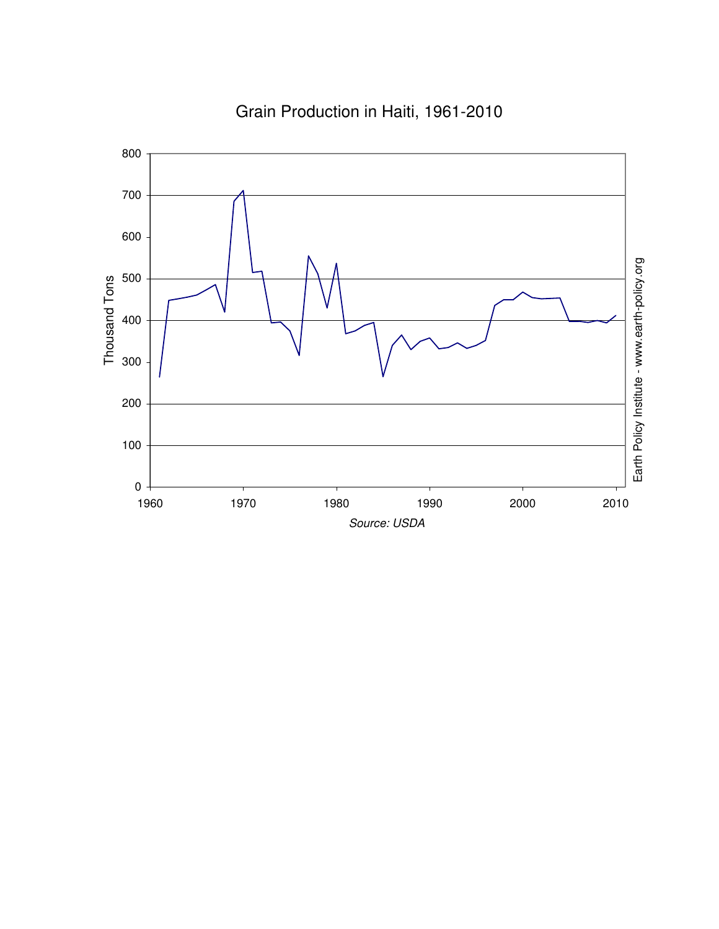

# Grain Production in Haiti, 1961-2010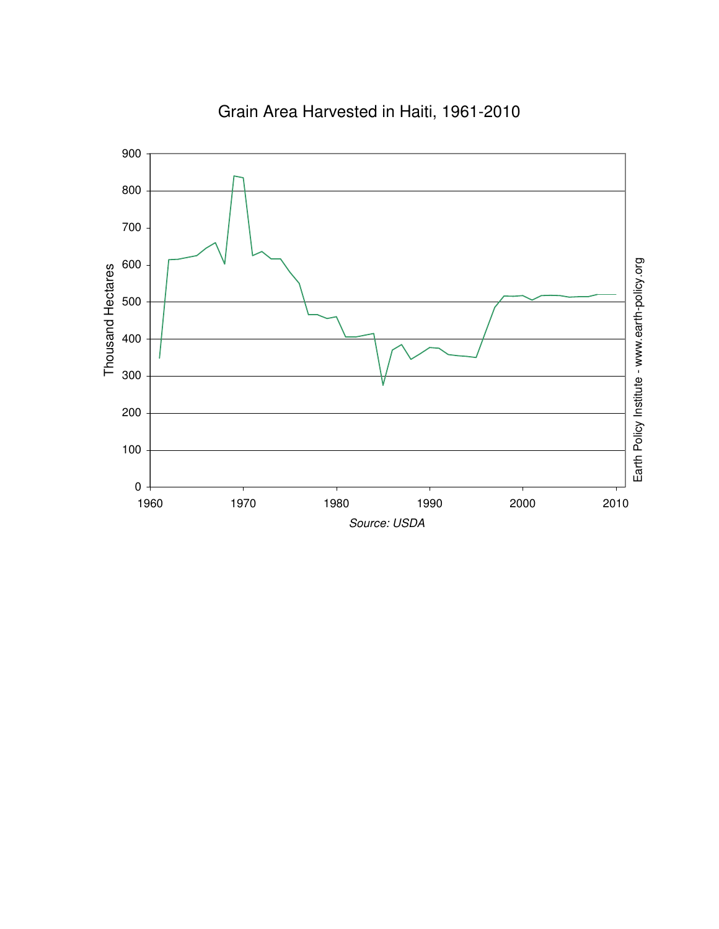

### Grain Area Harvested in Haiti, 1961-2010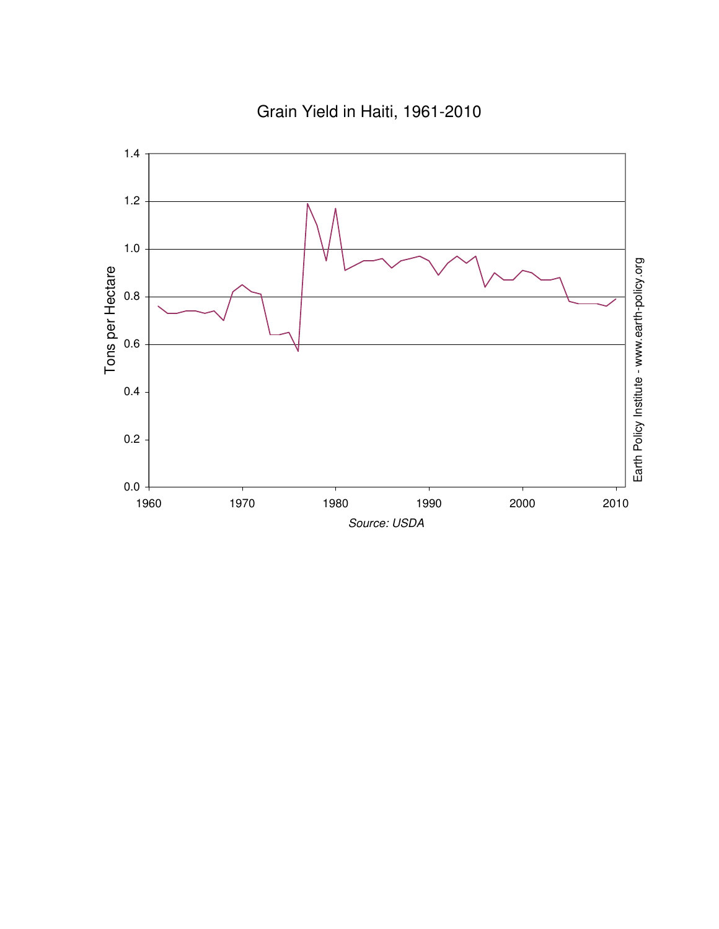Grain Yield in Haiti, 1961-2010

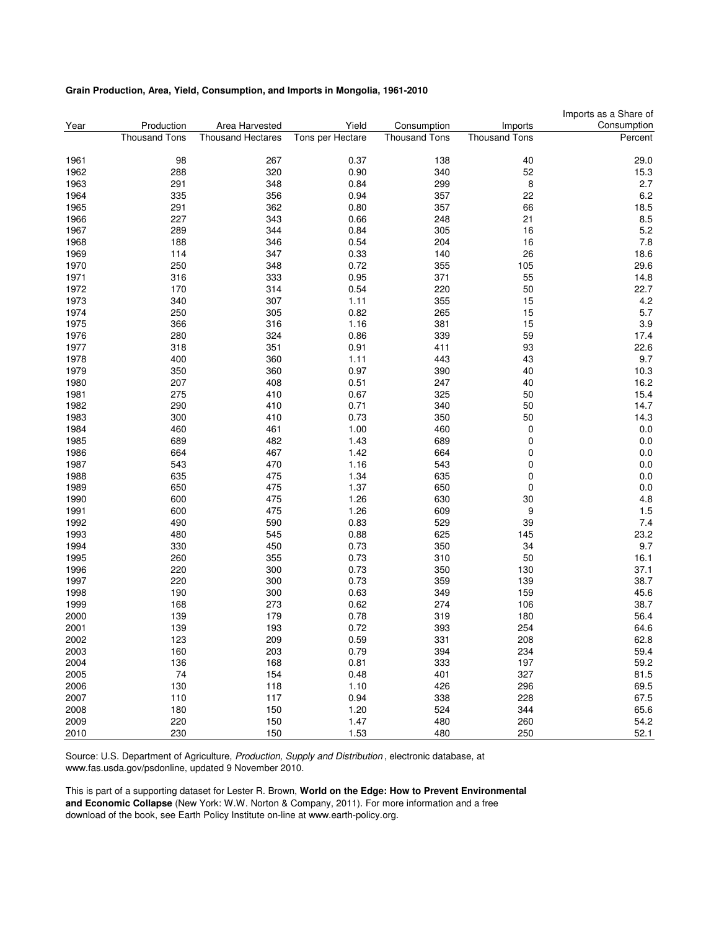#### **Grain Production, Area, Yield, Consumption, and Imports in Mongolia, 1961-2010**

|      |                      |                          |                  |                      |                      | Imports as a Share of |
|------|----------------------|--------------------------|------------------|----------------------|----------------------|-----------------------|
| Year | Production           | Area Harvested           | Yield            | Consumption          | Imports              | Consumption           |
|      | <b>Thousand Tons</b> | <b>Thousand Hectares</b> | Tons per Hectare | <b>Thousand Tons</b> | <b>Thousand Tons</b> | Percent               |
|      |                      | 267                      |                  |                      |                      |                       |
| 1961 | 98                   |                          | 0.37             | 138                  | 40                   | 29.0                  |
| 1962 | 288                  | 320                      | 0.90             | 340                  | 52                   | 15.3                  |
| 1963 | 291                  | 348                      | 0.84             | 299                  | 8                    | 2.7                   |
| 1964 | 335                  | 356                      | 0.94             | 357                  | 22                   | 6.2                   |
| 1965 | 291                  | 362                      | 0.80             | 357                  | 66                   | 18.5                  |
| 1966 | 227                  | 343                      | 0.66             | 248                  | 21                   | 8.5                   |
| 1967 | 289                  | 344                      | 0.84             | 305                  | 16                   | 5.2                   |
| 1968 | 188                  | 346                      | 0.54             | 204                  | 16                   | 7.8                   |
| 1969 | 114                  | 347                      | 0.33             | 140                  | 26                   | 18.6                  |
| 1970 | 250                  | 348                      | 0.72             | 355                  | 105                  | 29.6                  |
| 1971 | 316                  | 333                      | 0.95             | 371                  | 55                   | 14.8                  |
| 1972 | 170                  | 314                      | 0.54             | 220                  | 50                   | 22.7                  |
| 1973 | 340                  | 307                      | 1.11             | 355                  | 15                   | 4.2                   |
| 1974 | 250                  | 305                      | 0.82             | 265                  | 15                   | 5.7                   |
| 1975 | 366                  | 316                      | 1.16             | 381                  | 15                   | 3.9                   |
| 1976 | 280                  | 324                      | 0.86             | 339                  | 59                   | 17.4                  |
| 1977 | 318                  | 351                      | 0.91             | 411                  | 93                   | 22.6                  |
| 1978 | 400                  | 360                      | 1.11             | 443                  | 43                   | 9.7                   |
| 1979 | 350                  | 360                      | 0.97             | 390                  | 40                   | 10.3                  |
| 1980 | 207                  | 408                      | 0.51             | 247                  | 40                   | 16.2                  |
|      |                      |                          |                  |                      |                      |                       |
| 1981 | 275                  | 410                      | 0.67             | 325                  | 50                   | 15.4                  |
| 1982 | 290                  | 410                      | 0.71             | 340                  | 50                   | 14.7                  |
| 1983 | 300                  | 410                      | 0.73             | 350                  | 50                   | 14.3                  |
| 1984 | 460                  | 461                      | 1.00             | 460                  | 0                    | 0.0                   |
| 1985 | 689                  | 482                      | 1.43             | 689                  | 0                    | 0.0                   |
| 1986 | 664                  | 467                      | 1.42             | 664                  | 0                    | 0.0                   |
| 1987 | 543                  | 470                      | 1.16             | 543                  | 0                    | 0.0                   |
| 1988 | 635                  | 475                      | 1.34             | 635                  | 0                    | 0.0                   |
| 1989 | 650                  | 475                      | 1.37             | 650                  | 0                    | 0.0                   |
| 1990 | 600                  | 475                      | 1.26             | 630                  | 30                   | 4.8                   |
| 1991 | 600                  | 475                      | 1.26             | 609                  | 9                    | 1.5                   |
| 1992 | 490                  | 590                      | 0.83             | 529                  | 39                   | 7.4                   |
| 1993 | 480                  | 545                      | 0.88             | 625                  | 145                  | 23.2                  |
| 1994 | 330                  | 450                      | 0.73             | 350                  | 34                   | 9.7                   |
| 1995 | 260                  | 355                      | 0.73             | 310                  | 50                   | 16.1                  |
| 1996 | 220                  | 300                      | 0.73             | 350                  | 130                  | 37.1                  |
| 1997 | 220                  | 300                      | 0.73             | 359                  | 139                  | 38.7                  |
| 1998 | 190                  | 300                      | 0.63             | 349                  | 159                  | 45.6                  |
| 1999 | 168                  | 273                      | 0.62             | 274                  | 106                  | 38.7                  |
| 2000 | 139                  | 179                      | 0.78             | 319                  | 180                  | 56.4                  |
| 2001 | 139                  | 193                      | 0.72             | 393                  | 254                  | 64.6                  |
|      |                      |                          |                  |                      |                      |                       |
| 2002 | 123                  | 209                      | 0.59             | 331                  | 208                  | 62.8                  |
| 2003 | 160                  | 203                      | 0.79             | 394                  | 234                  | 59.4                  |
| 2004 | 136                  | 168                      | 0.81             | 333                  | 197                  | 59.2                  |
| 2005 | 74                   | 154                      | 0.48             | 401                  | 327                  | 81.5                  |
| 2006 | 130                  | 118                      | 1.10             | 426                  | 296                  | 69.5                  |
| 2007 | 110                  | 117                      | 0.94             | 338                  | 228                  | 67.5                  |
| 2008 | 180                  | 150                      | 1.20             | 524                  | 344                  | 65.6                  |
| 2009 | 220                  | 150                      | 1.47             | 480                  | 260                  | 54.2                  |
| 2010 | 230                  | 150                      | 1.53             | 480                  | 250                  | 52.1                  |

Source: U.S. Department of Agriculture, Production, Supply and Distribution , electronic database, at www.fas.usda.gov/psdonline, updated 9 November 2010.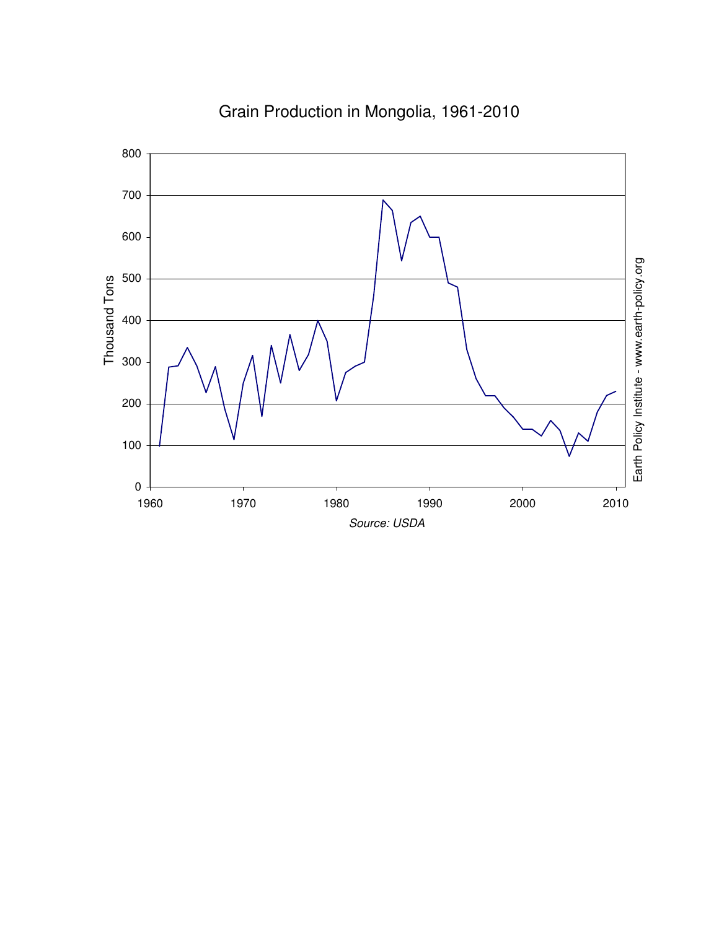

Grain Production in Mongolia, 1961-2010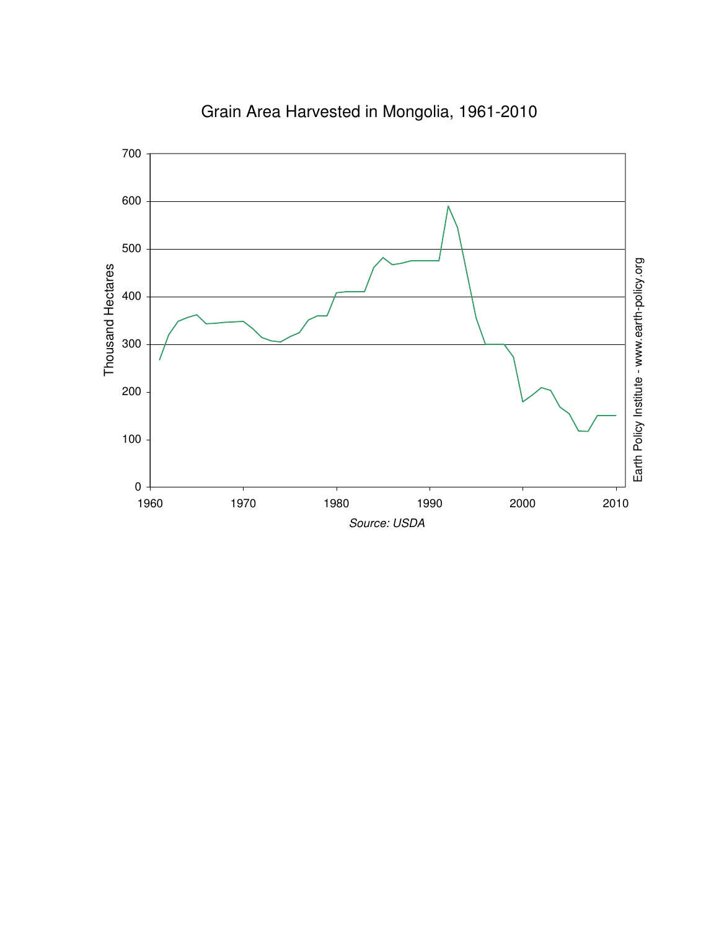

Grain Area Harvested in Mongolia, 1961-2010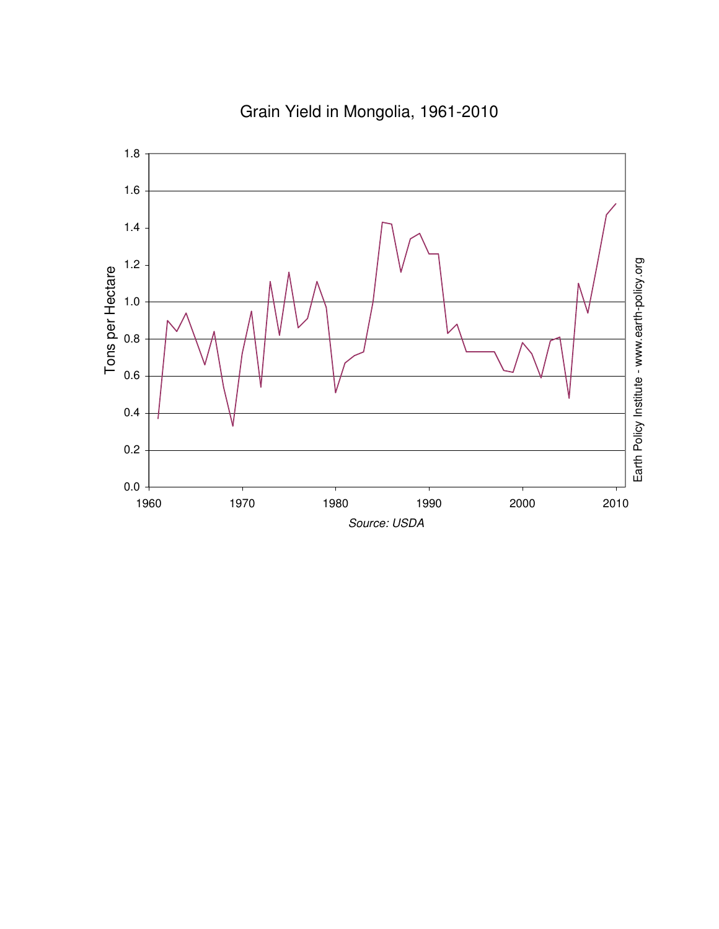

# Grain Yield in Mongolia, 1961-2010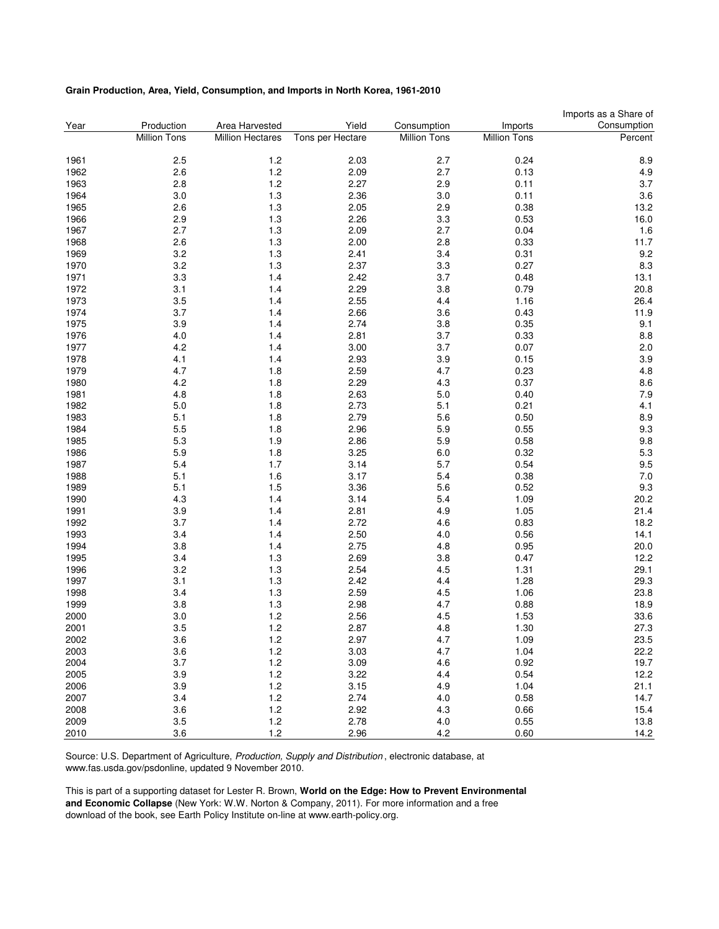#### **Grain Production, Area, Yield, Consumption, and Imports in North Korea, 1961-2010**

|      |                     |                         |                  |                     |                     | Imports as a Share of |
|------|---------------------|-------------------------|------------------|---------------------|---------------------|-----------------------|
| Year | Production          | Area Harvested          | Yield            | Consumption         | Imports             | Consumption           |
|      | <b>Million Tons</b> | <b>Million Hectares</b> | Tons per Hectare | <b>Million Tons</b> | <b>Million Tons</b> | Percent               |
| 1961 | 2.5                 | 1.2                     | 2.03             | 2.7                 | 0.24                | 8.9                   |
| 1962 | 2.6                 | 1.2                     | 2.09             | 2.7                 | 0.13                | 4.9                   |
| 1963 | 2.8                 | 1.2                     | 2.27             | 2.9                 | 0.11                | 3.7                   |
| 1964 | 3.0                 | $1.3$                   | 2.36             | $3.0\,$             | 0.11                | 3.6                   |
| 1965 | 2.6                 | 1.3                     | 2.05             | 2.9                 | 0.38                | 13.2                  |
| 1966 | 2.9                 | $1.3$                   | 2.26             | 3.3                 | 0.53                | 16.0                  |
| 1967 | 2.7                 | $1.3$                   | 2.09             | 2.7                 | 0.04                | 1.6                   |
| 1968 | 2.6                 | 1.3                     | 2.00             | 2.8                 | 0.33                | 11.7                  |
| 1969 | 3.2                 | $1.3$                   | 2.41             | 3.4                 | 0.31                | 9.2                   |
| 1970 | 3.2                 | 1.3                     | 2.37             | 3.3                 | 0.27                | 8.3                   |
| 1971 | 3.3                 | 1.4                     | 2.42             | 3.7                 | 0.48                | 13.1                  |
| 1972 | 3.1                 | 1.4                     | 2.29             | 3.8                 | 0.79                | 20.8                  |
| 1973 | 3.5                 | 1.4                     | 2.55             | 4.4                 | 1.16                | 26.4                  |
| 1974 | 3.7                 | 1.4                     | 2.66             | 3.6                 | 0.43                | 11.9                  |
|      |                     |                         |                  |                     |                     |                       |
| 1975 | 3.9                 | 1.4                     | 2.74             | 3.8                 | 0.35                | 9.1                   |
| 1976 | 4.0                 | 1.4                     | 2.81             | 3.7                 | 0.33                | 8.8                   |
| 1977 | 4.2                 | 1.4                     | 3.00             | 3.7                 | 0.07                | 2.0                   |
| 1978 | 4.1                 | 1.4                     | 2.93             | 3.9                 | 0.15                | 3.9                   |
| 1979 | 4.7                 | 1.8                     | 2.59             | 4.7                 | 0.23                | 4.8                   |
| 1980 | 4.2                 | 1.8                     | 2.29             | 4.3                 | 0.37                | 8.6                   |
| 1981 | 4.8                 | 1.8                     | 2.63             | 5.0                 | 0.40                | 7.9                   |
| 1982 | 5.0                 | 1.8                     | 2.73             | 5.1                 | 0.21                | 4.1                   |
| 1983 | 5.1                 | 1.8                     | 2.79             | 5.6                 | 0.50                | 8.9                   |
| 1984 | 5.5                 | 1.8                     | 2.96             | 5.9                 | 0.55                | 9.3                   |
| 1985 | 5.3                 | 1.9                     | 2.86             | 5.9                 | 0.58                | 9.8                   |
| 1986 | 5.9                 | 1.8                     | 3.25             | 6.0                 | 0.32                | 5.3                   |
| 1987 | 5.4                 | 1.7                     | 3.14             | 5.7                 | 0.54                | 9.5                   |
| 1988 | 5.1                 | 1.6                     | 3.17             | 5.4                 | 0.38                | 7.0                   |
| 1989 | 5.1                 | 1.5                     | 3.36             | 5.6                 | 0.52                | 9.3                   |
| 1990 | 4.3                 | 1.4                     | 3.14             | 5.4                 | 1.09                | 20.2                  |
| 1991 | 3.9                 | 1.4                     | 2.81             | 4.9                 | 1.05                | 21.4                  |
| 1992 | 3.7                 | 1.4                     | 2.72             | 4.6                 | 0.83                | 18.2                  |
| 1993 | 3.4                 | 1.4                     | 2.50             | 4.0                 | 0.56                | 14.1                  |
| 1994 | 3.8                 | 1.4                     | 2.75             | 4.8                 | 0.95                | 20.0                  |
| 1995 | 3.4                 | $1.3$                   | 2.69             | 3.8                 | 0.47                | 12.2                  |
| 1996 | 3.2                 | $1.3$                   | 2.54             | 4.5                 | 1.31                | 29.1                  |
| 1997 | 3.1                 | $1.3$                   | 2.42             | 4.4                 | 1.28                | 29.3                  |
| 1998 | 3.4                 | $1.3$                   | 2.59             | 4.5                 | 1.06                | 23.8                  |
| 1999 | 3.8                 | $1.3$                   | 2.98             | 4.7                 | 0.88                | 18.9                  |
| 2000 | 3.0                 | 1.2                     | 2.56             | 4.5                 | 1.53                | 33.6                  |
| 2001 | 3.5                 | 1.2                     | 2.87             | 4.8                 | 1.30                | 27.3                  |
| 2002 | 3.6                 | 1.2                     | 2.97             | 4.7                 | 1.09                | 23.5                  |
| 2003 | 3.6                 | 1.2                     | 3.03             | 4.7                 | 1.04                | 22.2                  |
| 2004 | 3.7                 | $1.2$                   | 3.09             | 4.6                 | 0.92                | 19.7                  |
| 2005 | 3.9                 | $1.2$                   | 3.22             | 4.4                 | 0.54                | 12.2                  |
| 2006 | 3.9                 | 1.2                     | 3.15             | 4.9                 | 1.04                | 21.1                  |
| 2007 | 3.4                 | 1.2                     | 2.74             | 4.0                 | 0.58                | 14.7                  |
| 2008 | 3.6                 | 1.2                     | 2.92             | 4.3                 | 0.66                | 15.4                  |
| 2009 | 3.5                 | 1.2                     | 2.78             | 4.0                 | 0.55                | 13.8                  |
| 2010 | 3.6                 | 1.2                     | 2.96             | 4.2                 | 0.60                | 14.2                  |
|      |                     |                         |                  |                     |                     |                       |

Source: U.S. Department of Agriculture, Production, Supply and Distribution , electronic database, at www.fas.usda.gov/psdonline, updated 9 November 2010.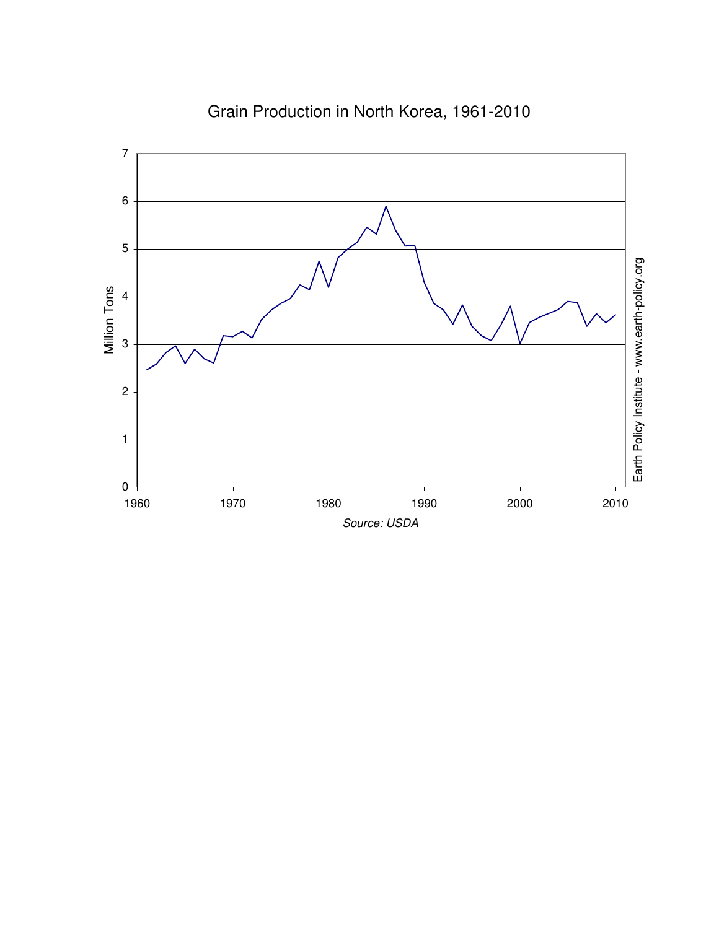

Grain Production in North Korea, 1961-2010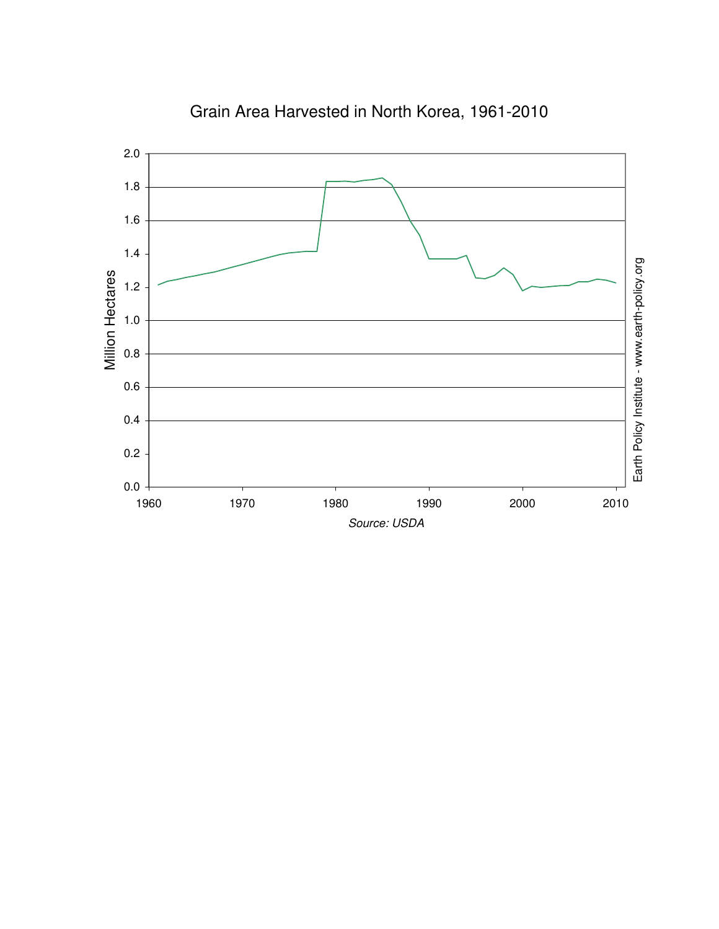

Grain Area Harvested in North Korea, 1961-2010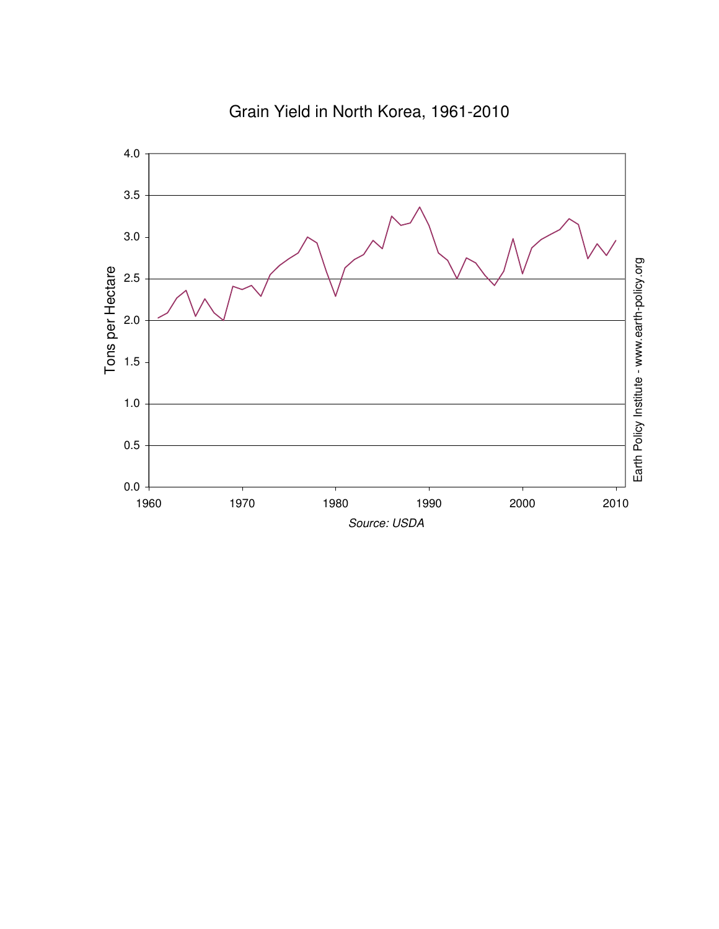

Grain Yield in North Korea, 1961-2010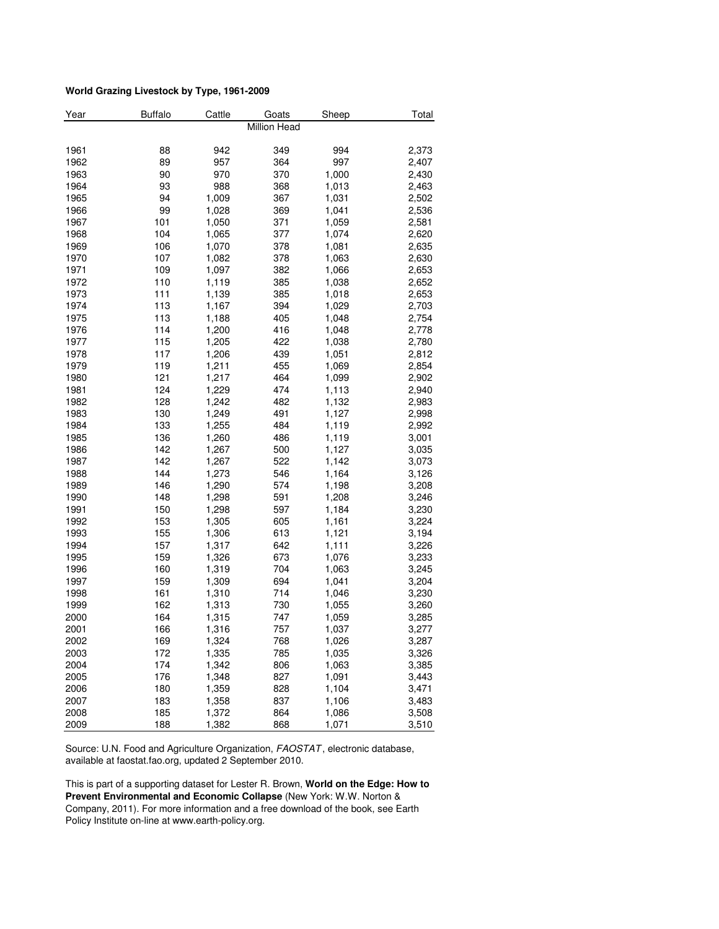#### **World Grazing Livestock by Type, 1961-2009**

| Year | <b>Buffalo</b> | Cattle | Goats        | Sheep | Total |
|------|----------------|--------|--------------|-------|-------|
|      |                |        | Million Head |       |       |
|      |                |        |              |       |       |
| 1961 | 88             | 942    | 349          | 994   | 2,373 |
| 1962 | 89             | 957    | 364          | 997   | 2,407 |
| 1963 | 90             | 970    | 370          | 1,000 | 2,430 |
| 1964 | 93             | 988    | 368          | 1,013 | 2,463 |
| 1965 | 94             | 1,009  | 367          | 1,031 | 2,502 |
| 1966 | 99             | 1,028  | 369          | 1,041 | 2,536 |
| 1967 | 101            | 1,050  | 371          | 1,059 | 2,581 |
| 1968 | 104            | 1,065  | 377          | 1,074 | 2,620 |
| 1969 | 106            | 1,070  | 378          | 1,081 | 2,635 |
| 1970 | 107            | 1,082  | 378          | 1,063 | 2,630 |
| 1971 | 109            | 1,097  | 382          | 1,066 | 2,653 |
| 1972 | 110            | 1,119  | 385          | 1,038 | 2,652 |
| 1973 | 111            | 1,139  | 385          | 1,018 | 2,653 |
| 1974 | 113            | 1,167  | 394          | 1,029 | 2,703 |
| 1975 | 113            | 1,188  | 405          | 1,048 | 2,754 |
| 1976 | 114            | 1,200  | 416          | 1,048 | 2,778 |
| 1977 | 115            | 1,205  | 422          | 1,038 | 2,780 |
| 1978 | 117            | 1,206  | 439          | 1,051 | 2,812 |
| 1979 | 119            | 1,211  | 455          | 1,069 | 2,854 |
| 1980 | 121            | 1,217  | 464          | 1,099 | 2,902 |
| 1981 | 124            | 1,229  | 474          | 1,113 | 2,940 |
| 1982 | 128            | 1,242  | 482          | 1,132 | 2,983 |
| 1983 | 130            | 1,249  | 491          | 1,127 | 2,998 |
| 1984 | 133            | 1,255  | 484          | 1,119 | 2,992 |
| 1985 | 136            | 1,260  | 486          | 1,119 | 3,001 |
| 1986 | 142            | 1,267  | 500          | 1,127 | 3,035 |
| 1987 | 142            | 1,267  | 522          | 1,142 | 3,073 |
| 1988 | 144            | 1,273  | 546          | 1,164 | 3,126 |
| 1989 | 146            | 1,290  | 574          | 1,198 | 3,208 |
| 1990 | 148            | 1,298  | 591          | 1,208 | 3,246 |
| 1991 | 150            | 1,298  | 597          | 1,184 | 3,230 |
| 1992 | 153            | 1,305  | 605          | 1,161 | 3,224 |
| 1993 | 155            | 1,306  | 613          | 1,121 | 3,194 |
| 1994 | 157            | 1,317  | 642          | 1,111 | 3,226 |
| 1995 | 159            | 1,326  | 673          | 1,076 | 3,233 |
| 1996 | 160            | 1,319  | 704          | 1,063 | 3,245 |
| 1997 | 159            | 1,309  | 694          | 1,041 | 3,204 |
| 1998 | 161            | 1,310  | 714          | 1,046 | 3,230 |
| 1999 | 162            | 1,313  | 730          | 1,055 | 3,260 |
| 2000 | 164            | 1,315  | 747          | 1,059 | 3,285 |
| 2001 | 166            | 1,316  | 757          | 1,037 | 3,277 |
| 2002 | 169            | 1,324  | 768          | 1,026 | 3,287 |
| 2003 | 172            | 1,335  | 785          | 1,035 | 3,326 |
| 2004 | 174            | 1,342  | 806          | 1,063 | 3,385 |
| 2005 | 176            | 1,348  | 827          | 1,091 | 3,443 |
| 2006 | 180            | 1,359  | 828          | 1,104 | 3,471 |
| 2007 | 183            | 1,358  | 837          | 1,106 | 3,483 |
| 2008 | 185            | 1,372  | 864          | 1,086 | 3,508 |
| 2009 | 188            | 1,382  | 868          | 1,071 | 3,510 |

Source: U.N. Food and Agriculture Organization, FAOSTAT, electronic database, available at faostat.fao.org, updated 2 September 2010.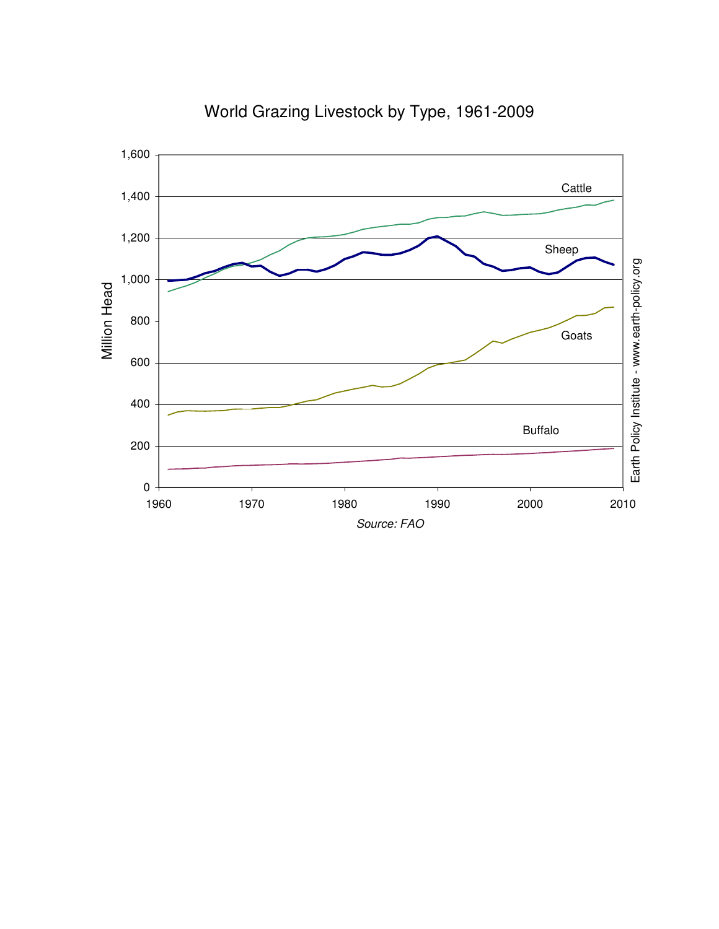

World Grazing Livestock by Type, 1961-2009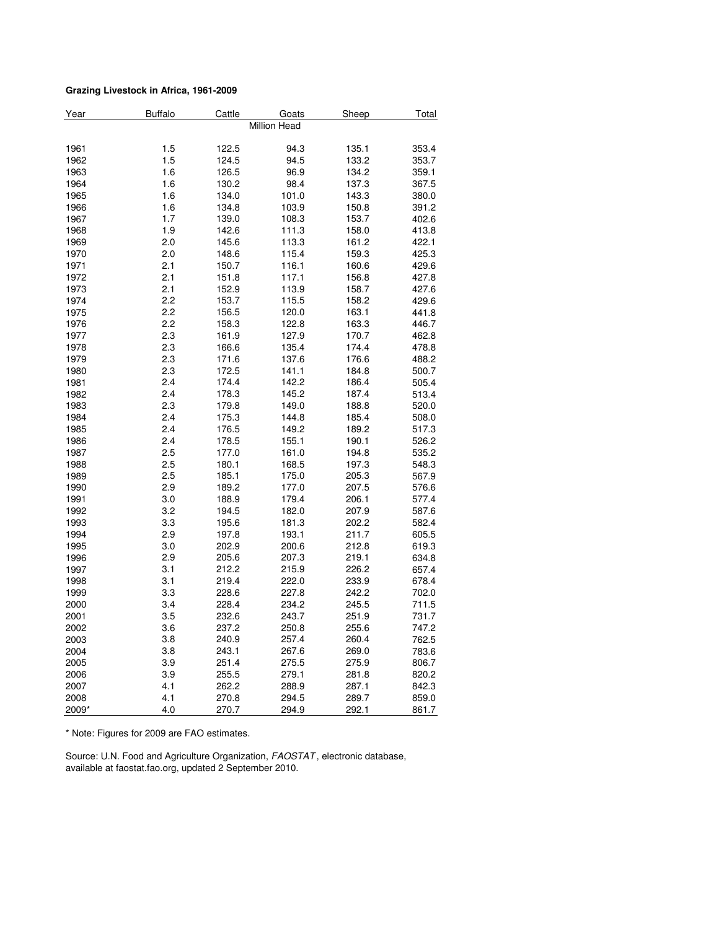#### **Grazing Livestock in Africa, 1961-2009**

| Year  | <b>Buffalo</b> | Cattle | Goats        | Sheep | Total |
|-------|----------------|--------|--------------|-------|-------|
|       |                |        | Million Head |       |       |
|       |                |        |              |       |       |
| 1961  | 1.5            | 122.5  | 94.3         | 135.1 | 353.4 |
| 1962  | 1.5            | 124.5  | 94.5         | 133.2 | 353.7 |
| 1963  | 1.6            | 126.5  | 96.9         | 134.2 | 359.1 |
| 1964  | 1.6            | 130.2  | 98.4         | 137.3 | 367.5 |
| 1965  | 1.6            | 134.0  | 101.0        | 143.3 | 380.0 |
| 1966  | 1.6            | 134.8  | 103.9        | 150.8 | 391.2 |
| 1967  | 1.7            | 139.0  | 108.3        | 153.7 | 402.6 |
| 1968  | 1.9            | 142.6  | 111.3        | 158.0 | 413.8 |
| 1969  | 2.0            | 145.6  | 113.3        | 161.2 | 422.1 |
| 1970  | 2.0            | 148.6  | 115.4        | 159.3 | 425.3 |
| 1971  | 2.1            | 150.7  | 116.1        | 160.6 | 429.6 |
| 1972  | 2.1            | 151.8  | 117.1        | 156.8 | 427.8 |
| 1973  | 2.1            | 152.9  | 113.9        | 158.7 | 427.6 |
| 1974  | 2.2            | 153.7  | 115.5        | 158.2 | 429.6 |
| 1975  | 2.2            | 156.5  | 120.0        | 163.1 | 441.8 |
| 1976  | 2.2            | 158.3  | 122.8        | 163.3 | 446.7 |
| 1977  | 2.3            | 161.9  | 127.9        | 170.7 | 462.8 |
| 1978  | 2.3            | 166.6  | 135.4        | 174.4 | 478.8 |
| 1979  | 2.3            | 171.6  | 137.6        | 176.6 | 488.2 |
| 1980  | 2.3            | 172.5  | 141.1        | 184.8 | 500.7 |
| 1981  | 2.4            | 174.4  | 142.2        | 186.4 | 505.4 |
| 1982  | 2.4            | 178.3  | 145.2        | 187.4 | 513.4 |
| 1983  | 2.3            | 179.8  | 149.0        | 188.8 | 520.0 |
| 1984  | 2.4            | 175.3  | 144.8        | 185.4 | 508.0 |
| 1985  | 2.4            | 176.5  | 149.2        | 189.2 | 517.3 |
| 1986  | 2.4            | 178.5  | 155.1        | 190.1 | 526.2 |
| 1987  | 2.5            | 177.0  | 161.0        | 194.8 | 535.2 |
| 1988  | 2.5            | 180.1  | 168.5        | 197.3 | 548.3 |
| 1989  | 2.5            | 185.1  | 175.0        | 205.3 | 567.9 |
| 1990  | 2.9            | 189.2  | 177.0        | 207.5 | 576.6 |
| 1991  | 3.0            | 188.9  | 179.4        | 206.1 | 577.4 |
| 1992  | 3.2            | 194.5  | 182.0        | 207.9 | 587.6 |
| 1993  | 3.3            | 195.6  | 181.3        | 202.2 | 582.4 |
| 1994  | 2.9            | 197.8  | 193.1        | 211.7 | 605.5 |
| 1995  | 3.0            | 202.9  | 200.6        | 212.8 | 619.3 |
| 1996  | 2.9            | 205.6  | 207.3        | 219.1 | 634.8 |
| 1997  | 3.1            | 212.2  | 215.9        | 226.2 | 657.4 |
| 1998  | 3.1            | 219.4  | 222.0        | 233.9 | 678.4 |
| 1999  | 3.3            | 228.6  | 227.8        | 242.2 | 702.0 |
| 2000  | 3.4            | 228.4  | 234.2        | 245.5 | 711.5 |
| 2001  | 3.5            | 232.6  | 243.7        | 251.9 | 731.7 |
| 2002  | 3.6            | 237.2  | 250.8        | 255.6 | 747.2 |
| 2003  | 3.8            | 240.9  | 257.4        | 260.4 | 762.5 |
| 2004  | 3.8            | 243.1  | 267.6        | 269.0 | 783.6 |
| 2005  | 3.9            | 251.4  | 275.5        | 275.9 | 806.7 |
| 2006  | 3.9            | 255.5  | 279.1        | 281.8 | 820.2 |
| 2007  | 4.1            | 262.2  | 288.9        | 287.1 | 842.3 |
| 2008  | 4.1            | 270.8  | 294.5        | 289.7 | 859.0 |
| 2009* | 4.0            | 270.7  | 294.9        | 292.1 | 861.7 |

\* Note: Figures for 2009 are FAO estimates.

Source: U.N. Food and Agriculture Organization, FAOSTAT, electronic database, available at faostat.fao.org, updated 2 September 2010.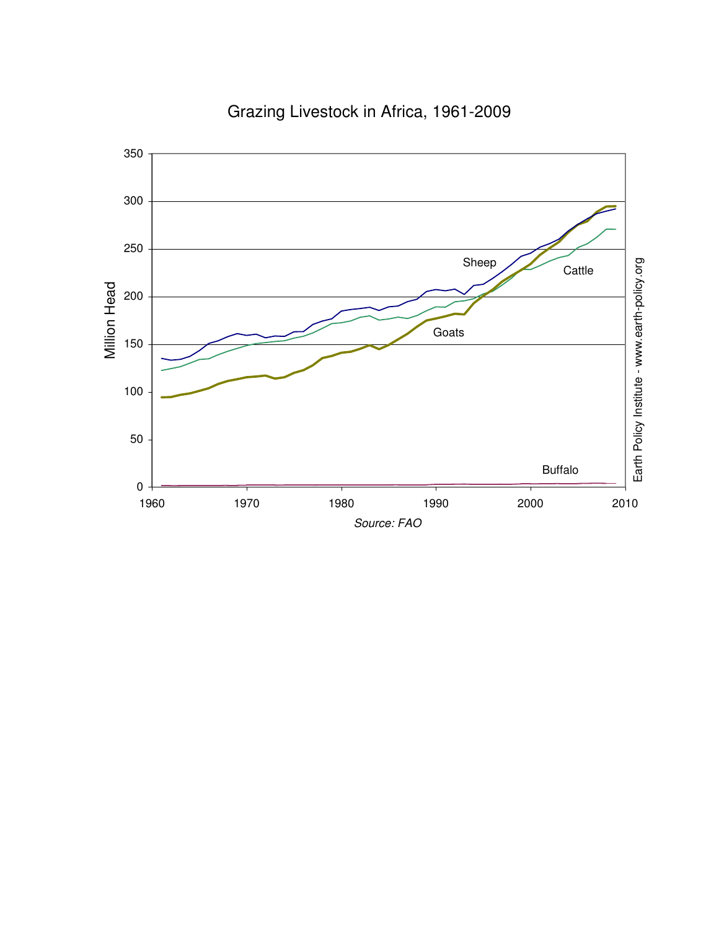

### Grazing Livestock in Africa, 1961-2009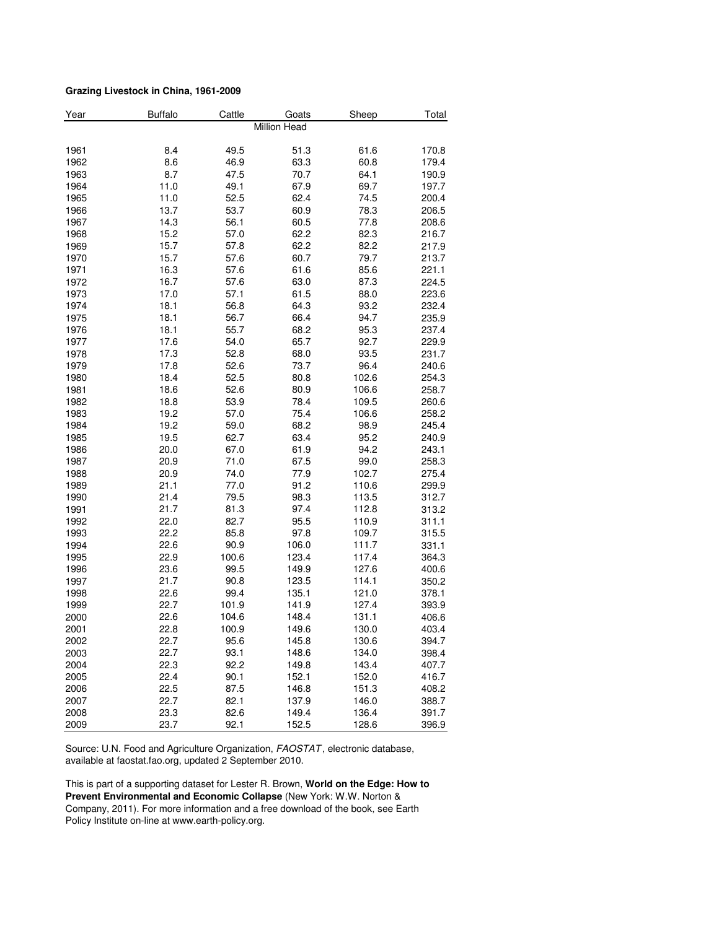#### **Grazing Livestock in China, 1961-2009**

| Year | <b>Buffalo</b> | Cattle | Goats               | Sheep | Total |
|------|----------------|--------|---------------------|-------|-------|
|      |                |        | <b>Million Head</b> |       |       |
| 1961 | 8.4            | 49.5   | 51.3                | 61.6  | 170.8 |
| 1962 | 8.6            | 46.9   | 63.3                | 60.8  | 179.4 |
| 1963 | 8.7            | 47.5   | 70.7                | 64.1  | 190.9 |
| 1964 | 11.0           | 49.1   | 67.9                | 69.7  | 197.7 |
| 1965 | 11.0           | 52.5   | 62.4                | 74.5  | 200.4 |
| 1966 | 13.7           | 53.7   | 60.9                | 78.3  | 206.5 |
| 1967 | 14.3           | 56.1   | 60.5                | 77.8  | 208.6 |
| 1968 | 15.2           | 57.0   | 62.2                | 82.3  | 216.7 |
| 1969 | 15.7           | 57.8   | 62.2                | 82.2  | 217.9 |
| 1970 | 15.7           | 57.6   | 60.7                | 79.7  | 213.7 |
| 1971 | 16.3           | 57.6   | 61.6                | 85.6  | 221.1 |
| 1972 | 16.7           | 57.6   | 63.0                | 87.3  | 224.5 |
| 1973 | 17.0           | 57.1   | 61.5                | 88.0  | 223.6 |
| 1974 | 18.1           | 56.8   | 64.3                | 93.2  | 232.4 |
| 1975 | 18.1           | 56.7   | 66.4                | 94.7  | 235.9 |
| 1976 | 18.1           | 55.7   | 68.2                | 95.3  | 237.4 |
|      |                |        |                     |       |       |
| 1977 | 17.6           | 54.0   | 65.7                | 92.7  | 229.9 |
| 1978 | 17.3           | 52.8   | 68.0                | 93.5  | 231.7 |
| 1979 | 17.8           | 52.6   | 73.7                | 96.4  | 240.6 |
| 1980 | 18.4           | 52.5   | 80.8                | 102.6 | 254.3 |
| 1981 | 18.6           | 52.6   | 80.9                | 106.6 | 258.7 |
| 1982 | 18.8           | 53.9   | 78.4                | 109.5 | 260.6 |
| 1983 | 19.2           | 57.0   | 75.4                | 106.6 | 258.2 |
| 1984 | 19.2           | 59.0   | 68.2                | 98.9  | 245.4 |
| 1985 | 19.5           | 62.7   | 63.4                | 95.2  | 240.9 |
| 1986 | 20.0           | 67.0   | 61.9                | 94.2  | 243.1 |
| 1987 | 20.9           | 71.0   | 67.5                | 99.0  | 258.3 |
| 1988 | 20.9           | 74.0   | 77.9                | 102.7 | 275.4 |
| 1989 | 21.1           | 77.0   | 91.2                | 110.6 | 299.9 |
| 1990 | 21.4           | 79.5   | 98.3                | 113.5 | 312.7 |
| 1991 | 21.7           | 81.3   | 97.4                | 112.8 | 313.2 |
| 1992 | 22.0           | 82.7   | 95.5                | 110.9 | 311.1 |
| 1993 | 22.2           | 85.8   | 97.8                | 109.7 | 315.5 |
| 1994 | 22.6           | 90.9   | 106.0               | 111.7 | 331.1 |
| 1995 | 22.9           | 100.6  | 123.4               | 117.4 | 364.3 |
| 1996 | 23.6           | 99.5   | 149.9               | 127.6 | 400.6 |
| 1997 | 21.7           | 90.8   | 123.5               | 114.1 | 350.2 |
| 1998 | 22.6           | 99.4   | 135.1               | 121.0 | 378.1 |
| 1999 | 22.7           | 101.9  | 141.9               | 127.4 | 393.9 |
| 2000 | 22.6           | 104.6  | 148.4               | 131.1 | 406.6 |
| 2001 | 22.8           | 100.9  | 149.6               | 130.0 | 403.4 |
| 2002 | 22.7           | 95.6   | 145.8               | 130.6 | 394.7 |
| 2003 | 22.7           | 93.1   | 148.6               | 134.0 | 398.4 |
| 2004 | 22.3           | 92.2   | 149.8               | 143.4 | 407.7 |
| 2005 | 22.4           | 90.1   | 152.1               | 152.0 | 416.7 |
| 2006 | 22.5           | 87.5   | 146.8               | 151.3 | 408.2 |
| 2007 | 22.7           | 82.1   | 137.9               | 146.0 | 388.7 |
| 2008 | 23.3           | 82.6   | 149.4               | 136.4 | 391.7 |
| 2009 | 23.7           | 92.1   | 152.5               | 128.6 | 396.9 |

Source: U.N. Food and Agriculture Organization, FAOSTAT, electronic database, available at faostat.fao.org, updated 2 September 2010.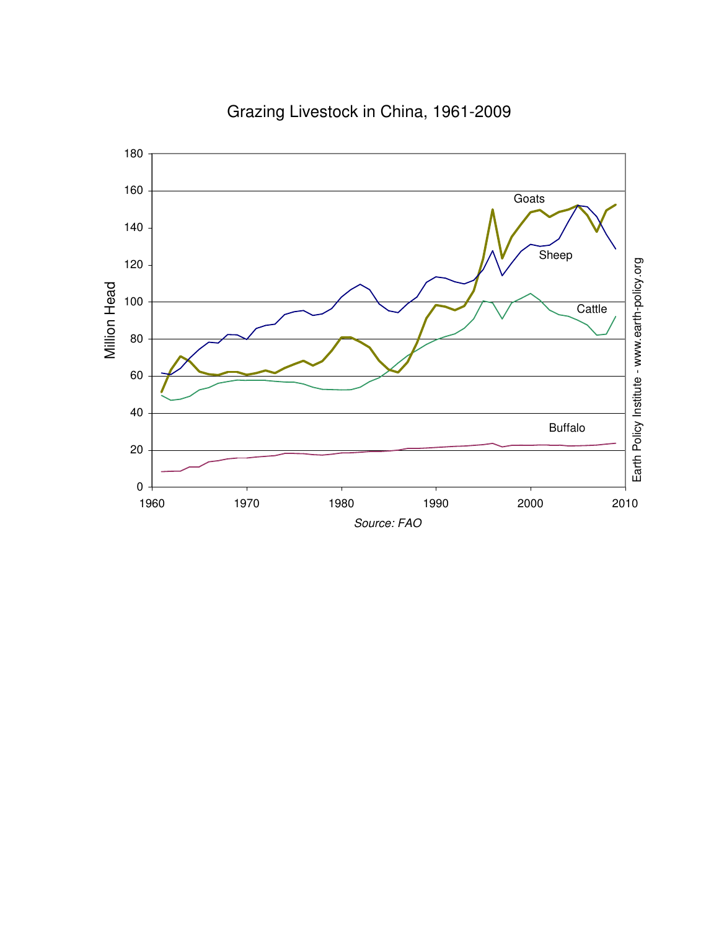

### Grazing Livestock in China, 1961-2009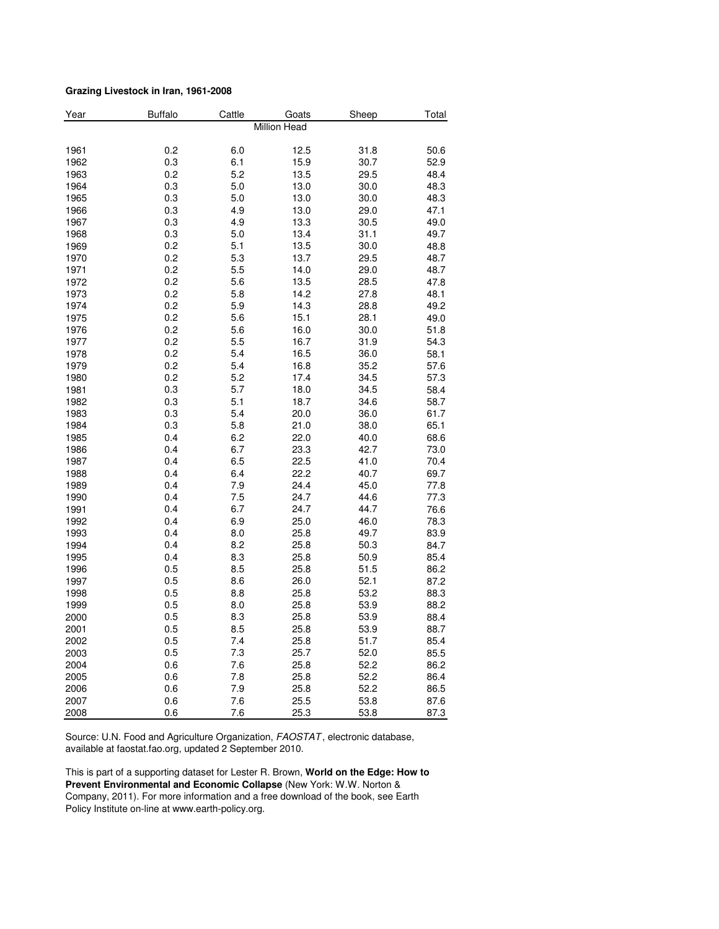#### **Grazing Livestock in Iran, 1961-2008**

| Year | <b>Buffalo</b> | Cattle | Goats        | Sheep | Total |
|------|----------------|--------|--------------|-------|-------|
|      |                |        | Million Head |       |       |
| 1961 | 0.2            | 6.0    | 12.5         | 31.8  | 50.6  |
| 1962 | 0.3            | 6.1    | 15.9         | 30.7  | 52.9  |
| 1963 | 0.2            | 5.2    | 13.5         | 29.5  | 48.4  |
| 1964 | 0.3            | 5.0    | 13.0         | 30.0  | 48.3  |
| 1965 | 0.3            | 5.0    | 13.0         | 30.0  | 48.3  |
| 1966 | 0.3            | 4.9    | 13.0         | 29.0  | 47.1  |
| 1967 | 0.3            | 4.9    | 13.3         | 30.5  | 49.0  |
| 1968 | 0.3            | 5.0    | 13.4         | 31.1  | 49.7  |
| 1969 | 0.2            | 5.1    | 13.5         | 30.0  | 48.8  |
| 1970 | 0.2            | 5.3    | 13.7         | 29.5  | 48.7  |
| 1971 | 0.2            | 5.5    | 14.0         | 29.0  | 48.7  |
| 1972 | 0.2            | 5.6    | 13.5         | 28.5  | 47.8  |
| 1973 | 0.2            | 5.8    | 14.2         | 27.8  | 48.1  |
| 1974 | 0.2            | 5.9    | 14.3         | 28.8  | 49.2  |
| 1975 | 0.2            | 5.6    | 15.1         | 28.1  | 49.0  |
| 1976 | 0.2            | 5.6    | 16.0         | 30.0  | 51.8  |
| 1977 | 0.2            | 5.5    | 16.7         | 31.9  | 54.3  |
| 1978 | 0.2            | 5.4    | 16.5         | 36.0  | 58.1  |
| 1979 | 0.2            | 5.4    | 16.8         | 35.2  | 57.6  |
| 1980 | 0.2            | 5.2    | 17.4         | 34.5  | 57.3  |
| 1981 | 0.3            | 5.7    | 18.0         | 34.5  | 58.4  |
| 1982 | 0.3            | 5.1    | 18.7         | 34.6  | 58.7  |
| 1983 | 0.3            | 5.4    | 20.0         | 36.0  | 61.7  |
| 1984 | 0.3            | 5.8    | 21.0         | 38.0  | 65.1  |
| 1985 | 0.4            | 6.2    | 22.0         | 40.0  | 68.6  |
| 1986 | 0.4            | 6.7    | 23.3         | 42.7  | 73.0  |
| 1987 | 0.4            | 6.5    | 22.5         | 41.0  | 70.4  |
| 1988 | 0.4            | 6.4    | 22.2         | 40.7  | 69.7  |
| 1989 | 0.4            | 7.9    | 24.4         | 45.0  | 77.8  |
| 1990 | 0.4            | 7.5    | 24.7         | 44.6  | 77.3  |
| 1991 | 0.4            | 6.7    | 24.7         | 44.7  | 76.6  |
| 1992 | 0.4            | 6.9    | 25.0         | 46.0  | 78.3  |
| 1993 | 0.4            | 8.0    | 25.8         | 49.7  | 83.9  |
| 1994 | 0.4            | 8.2    | 25.8         | 50.3  | 84.7  |
| 1995 | 0.4            | 8.3    | 25.8         | 50.9  | 85.4  |
| 1996 | 0.5            | 8.5    | 25.8         | 51.5  | 86.2  |
| 1997 | 0.5            | 8.6    | 26.0         | 52.1  | 87.2  |
| 1998 | 0.5            | 8.8    | 25.8         | 53.2  | 88.3  |
| 1999 | 0.5            | 8.0    | 25.8         | 53.9  | 88.2  |
| 2000 | 0.5            | 8.3    | 25.8         | 53.9  | 88.4  |
| 2001 | 0.5            | 8.5    | 25.8         | 53.9  | 88.7  |
| 2002 | 0.5            | 7.4    | 25.8         | 51.7  | 85.4  |
| 2003 | 0.5            | 7.3    | 25.7         | 52.0  | 85.5  |
| 2004 | 0.6            | 7.6    | 25.8         | 52.2  | 86.2  |
| 2005 | 0.6            | 7.8    | 25.8         | 52.2  | 86.4  |
| 2006 | 0.6            | 7.9    | 25.8         | 52.2  | 86.5  |
| 2007 | 0.6            | 7.6    | 25.5         | 53.8  | 87.6  |
| 2008 | 0.6            | 7.6    | 25.3         | 53.8  | 87.3  |

Source: U.N. Food and Agriculture Organization, FAOSTAT, electronic database, available at faostat.fao.org, updated 2 September 2010.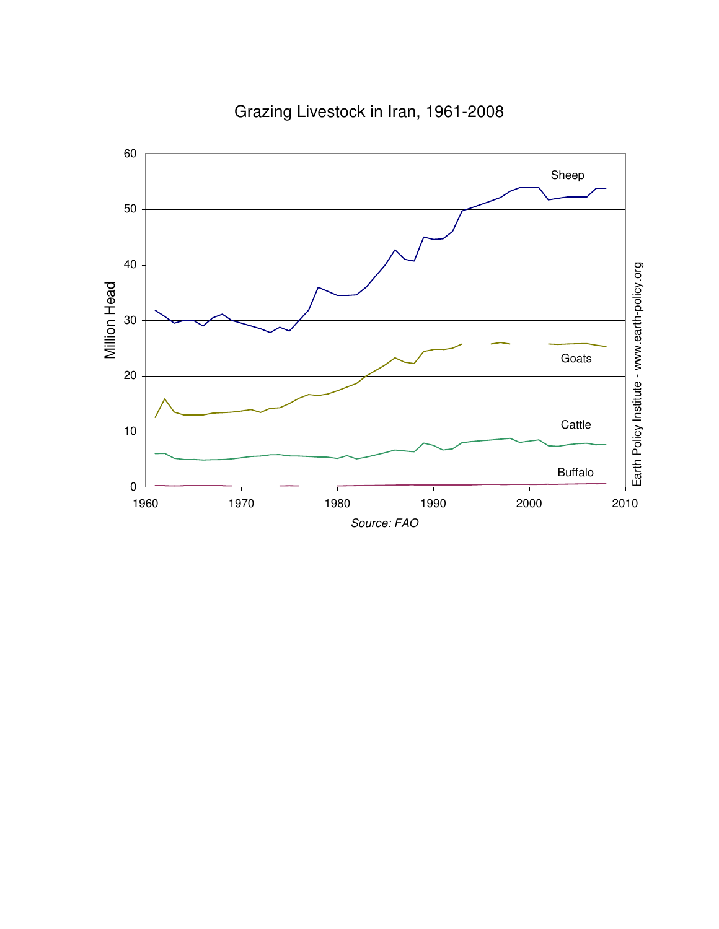

# Grazing Livestock in Iran, 1961-2008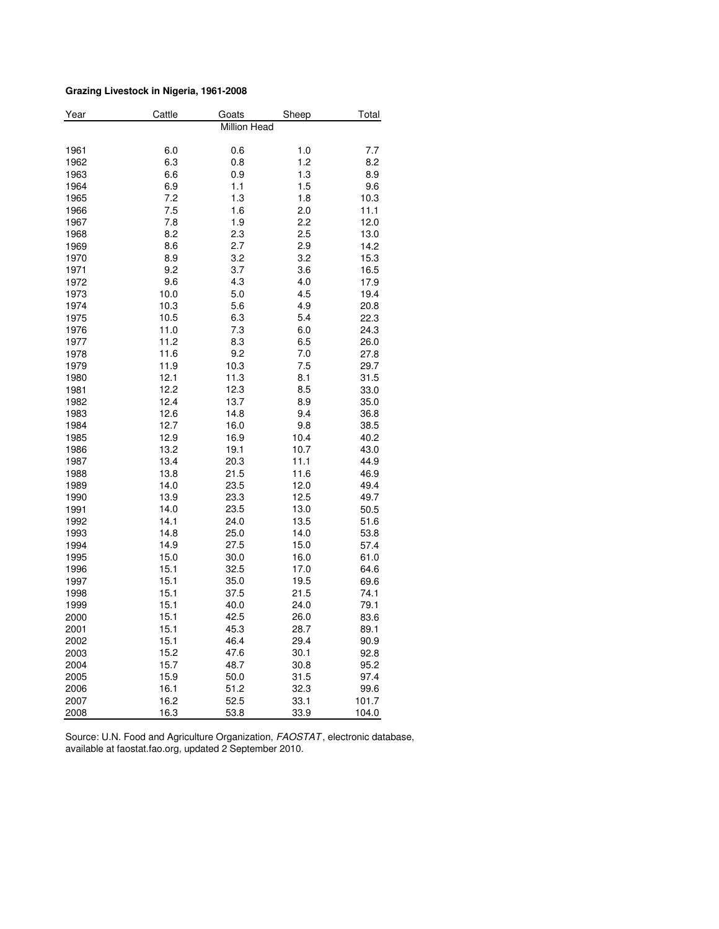#### **Grazing Livestock in Nigeria, 1961-2008**

| Year         | Cattle       | Goats               | Sheep        | Total        |
|--------------|--------------|---------------------|--------------|--------------|
|              |              | <b>Million Head</b> |              |              |
|              |              |                     |              |              |
| 1961         | 6.0          | 0.6                 | 1.0          | 7.7          |
| 1962         | 6.3          | 0.8                 | 1.2          | 8.2          |
| 1963         | 6.6          | 0.9                 | 1.3          | 8.9          |
| 1964         | 6.9          | 1.1                 | 1.5          | 9.6          |
| 1965         | 7.2          | 1.3                 | 1.8          | 10.3         |
| 1966         | 7.5          | 1.6                 | 2.0          | 11.1         |
| 1967         | 7.8          | 1.9                 | 2.2          | 12.0         |
| 1968         | 8.2          | 2.3                 | 2.5          | 13.0         |
| 1969         | 8.6          | 2.7                 | 2.9          | 14.2         |
| 1970         | 8.9          | 3.2                 | 3.2          | 15.3         |
| 1971         | 9.2          | 3.7                 | 3.6          | 16.5         |
| 1972         | 9.6          | 4.3                 | 4.0          | 17.9         |
| 1973         | 10.0         | 5.0                 | 4.5          | 19.4         |
| 1974         | 10.3         | 5.6                 | 4.9          | 20.8         |
| 1975         | 10.5         | 6.3                 | 5.4          | 22.3         |
| 1976         | 11.0         | 7.3                 | 6.0          | 24.3         |
| 1977         | 11.2         | 8.3                 | 6.5          | 26.0         |
| 1978         | 11.6         | 9.2                 | 7.0          | 27.8         |
| 1979         | 11.9         | 10.3                | 7.5          | 29.7         |
| 1980         | 12.1         | 11.3                | 8.1          | 31.5         |
| 1981         | 12.2         | 12.3                | 8.5          | 33.0         |
| 1982         | 12.4         | 13.7                | 8.9          | 35.0         |
| 1983         | 12.6         | 14.8                | 9.4          | 36.8         |
| 1984         | 12.7         | 16.0                | 9.8          | 38.5         |
| 1985<br>1986 | 12.9<br>13.2 | 16.9<br>19.1        | 10.4<br>10.7 | 40.2<br>43.0 |
| 1987         | 13.4         | 20.3                | 11.1         | 44.9         |
| 1988         | 13.8         | 21.5                | 11.6         | 46.9         |
| 1989         | 14.0         | 23.5                | 12.0         |              |
| 1990         |              |                     |              | 49.4         |
| 1991         | 13.9<br>14.0 | 23.3                | 12.5<br>13.0 | 49.7<br>50.5 |
| 1992         | 14.1         | 23.5<br>24.0        | 13.5         | 51.6         |
| 1993         | 14.8         | 25.0                | 14.0         | 53.8         |
| 1994         | 14.9         | 27.5                | 15.0         | 57.4         |
| 1995         | 15.0         | 30.0                | 16.0         | 61.0         |
| 1996         | 15.1         | 32.5                | 17.0         | 64.6         |
| 1997         | 15.1         | 35.0                | 19.5         | 69.6         |
| 1998         | 15.1         | 37.5                | 21.5         | 74.1         |
| 1999         | 15.1         | 40.0                | 24.0         | 79.1         |
| 2000         | 15.1         | 42.5                | 26.0         | 83.6         |
| 2001         | 15.1         | 45.3                | 28.7         | 89.1         |
| 2002         | 15.1         | 46.4                | 29.4         | 90.9         |
| 2003         | 15.2         | 47.6                | 30.1         | 92.8         |
| 2004         | 15.7         | 48.7                | 30.8         | 95.2         |
| 2005         | 15.9         | 50.0                | 31.5         | 97.4         |
| 2006         | 16.1         | 51.2                | 32.3         | 99.6         |
| 2007         | 16.2         | 52.5                | 33.1         | 101.7        |
| 2008         | 16.3         | 53.8                | 33.9         | 104.0        |

Source: U.N. Food and Agriculture Organization, FAOSTAT, electronic database, available at faostat.fao.org, updated 2 September 2010.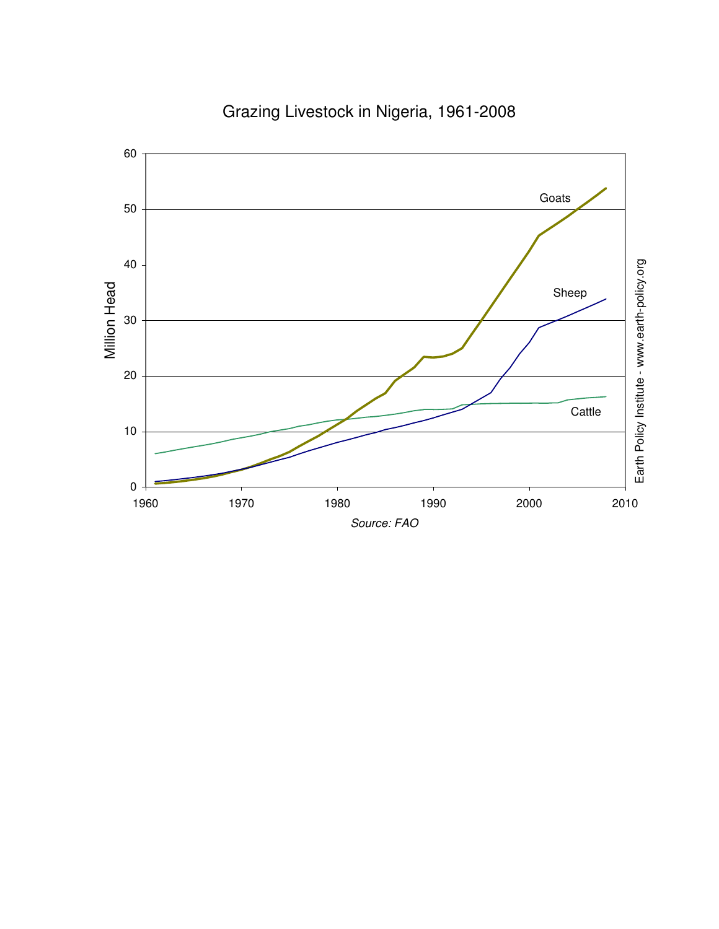

Grazing Livestock in Nigeria, 1961-2008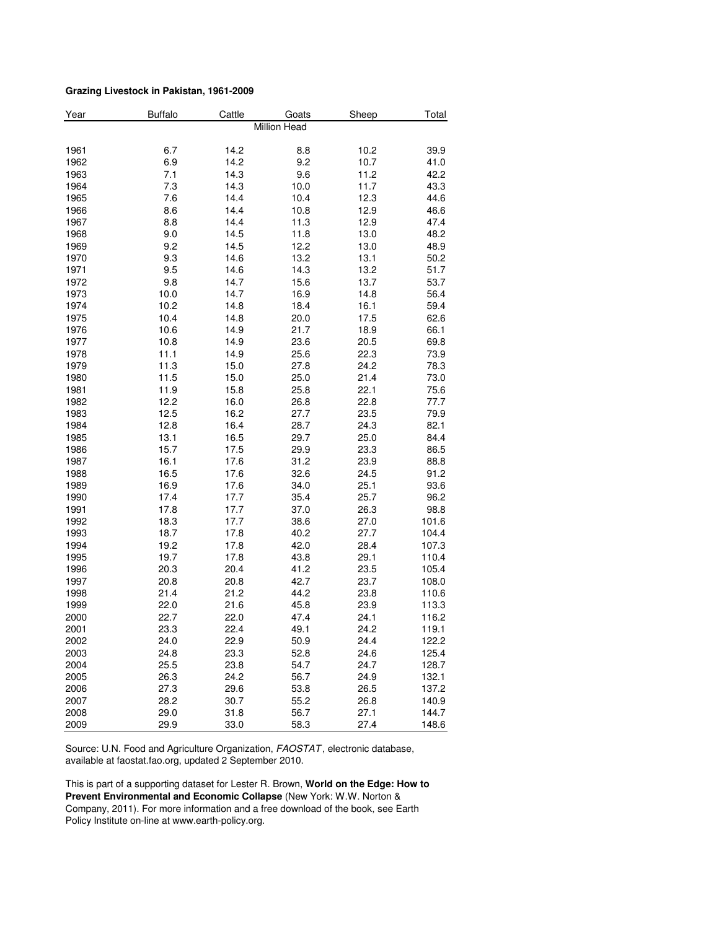#### **Grazing Livestock in Pakistan, 1961-2009**

| Year | <b>Buffalo</b> | Cattle | Goats        | Sheep | Total |
|------|----------------|--------|--------------|-------|-------|
|      |                |        | Million Head |       |       |
|      |                |        |              |       |       |
| 1961 | 6.7            | 14.2   | 8.8          | 10.2  | 39.9  |
| 1962 | 6.9            | 14.2   | 9.2          | 10.7  | 41.0  |
| 1963 | 7.1            | 14.3   | 9.6          | 11.2  | 42.2  |
| 1964 | 7.3            | 14.3   | 10.0         | 11.7  | 43.3  |
| 1965 | 7.6            | 14.4   | 10.4         | 12.3  | 44.6  |
| 1966 | 8.6            | 14.4   | 10.8         | 12.9  | 46.6  |
| 1967 | 8.8            | 14.4   | 11.3         | 12.9  | 47.4  |
| 1968 | 9.0            | 14.5   | 11.8         | 13.0  | 48.2  |
| 1969 | 9.2            | 14.5   | 12.2         | 13.0  | 48.9  |
| 1970 | 9.3            | 14.6   | 13.2         | 13.1  | 50.2  |
| 1971 | 9.5            | 14.6   | 14.3         | 13.2  | 51.7  |
| 1972 | 9.8            | 14.7   | 15.6         | 13.7  | 53.7  |
| 1973 | 10.0           | 14.7   | 16.9         | 14.8  | 56.4  |
| 1974 | 10.2           | 14.8   | 18.4         | 16.1  | 59.4  |
| 1975 | 10.4           | 14.8   | 20.0         | 17.5  | 62.6  |
| 1976 | 10.6           | 14.9   | 21.7         | 18.9  | 66.1  |
| 1977 | 10.8           | 14.9   | 23.6         | 20.5  | 69.8  |
| 1978 | 11.1           | 14.9   | 25.6         | 22.3  | 73.9  |
| 1979 | 11.3           | 15.0   | 27.8         | 24.2  | 78.3  |
| 1980 | 11.5           | 15.0   | 25.0         | 21.4  | 73.0  |
| 1981 | 11.9           | 15.8   | 25.8         | 22.1  | 75.6  |
| 1982 | 12.2           | 16.0   | 26.8         | 22.8  | 77.7  |
| 1983 | 12.5           | 16.2   | 27.7         | 23.5  | 79.9  |
| 1984 | 12.8           | 16.4   | 28.7         | 24.3  | 82.1  |
| 1985 | 13.1           | 16.5   | 29.7         | 25.0  | 84.4  |
| 1986 | 15.7           | 17.5   | 29.9         | 23.3  | 86.5  |
| 1987 | 16.1           | 17.6   | 31.2         | 23.9  | 88.8  |
| 1988 | 16.5           | 17.6   | 32.6         | 24.5  | 91.2  |
| 1989 | 16.9           | 17.6   | 34.0         | 25.1  | 93.6  |
| 1990 | 17.4           | 17.7   | 35.4         | 25.7  | 96.2  |
| 1991 | 17.8           | 17.7   | 37.0         | 26.3  | 98.8  |
| 1992 | 18.3           | 17.7   | 38.6         | 27.0  | 101.6 |
| 1993 | 18.7           | 17.8   | 40.2         | 27.7  | 104.4 |
| 1994 | 19.2           | 17.8   | 42.0         | 28.4  | 107.3 |
| 1995 | 19.7           | 17.8   | 43.8         | 29.1  | 110.4 |
| 1996 | 20.3           | 20.4   | 41.2         | 23.5  | 105.4 |
| 1997 | 20.8           | 20.8   | 42.7         | 23.7  | 108.0 |
| 1998 | 21.4           | 21.2   | 44.2         | 23.8  | 110.6 |
| 1999 | 22.0           | 21.6   | 45.8         | 23.9  | 113.3 |
| 2000 | 22.7           | 22.0   | 47.4         | 24.1  | 116.2 |
| 2001 | 23.3           | 22.4   | 49.1         | 24.2  | 119.1 |
| 2002 | 24.0           | 22.9   | 50.9         | 24.4  | 122.2 |
| 2003 | 24.8           | 23.3   | 52.8         | 24.6  | 125.4 |
| 2004 | 25.5           | 23.8   | 54.7         | 24.7  | 128.7 |
| 2005 | 26.3           | 24.2   | 56.7         | 24.9  | 132.1 |
| 2006 | 27.3           | 29.6   | 53.8         | 26.5  | 137.2 |
| 2007 | 28.2           | 30.7   | 55.2         | 26.8  | 140.9 |
| 2008 | 29.0           | 31.8   | 56.7         | 27.1  | 144.7 |
| 2009 | 29.9           | 33.0   | 58.3         | 27.4  | 148.6 |

Source: U.N. Food and Agriculture Organization, FAOSTAT, electronic database, available at faostat.fao.org, updated 2 September 2010.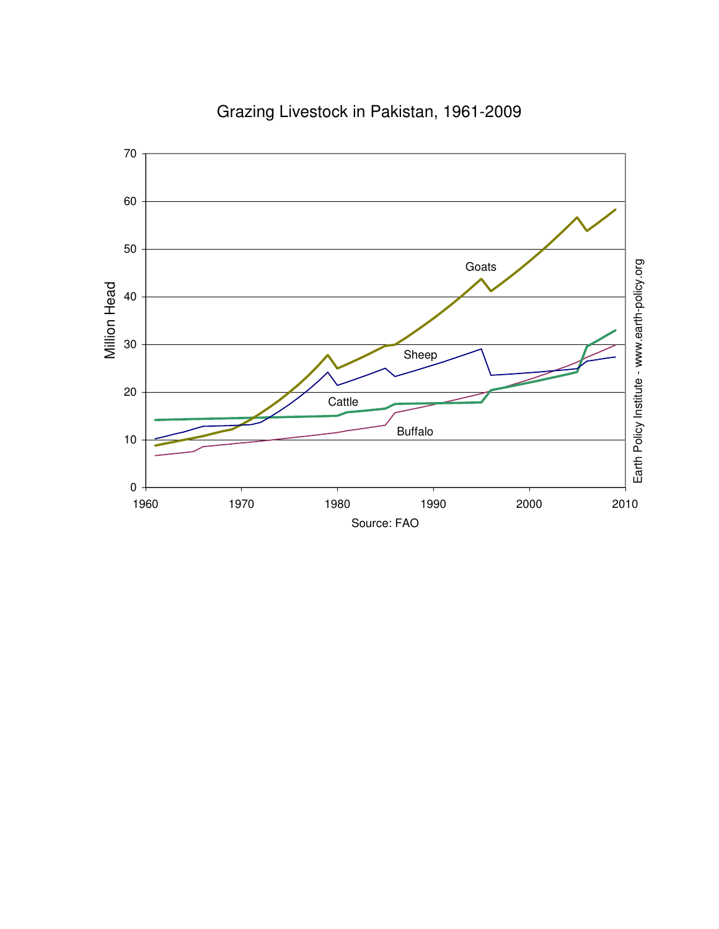

### Grazing Livestock in Pakistan, 1961-2009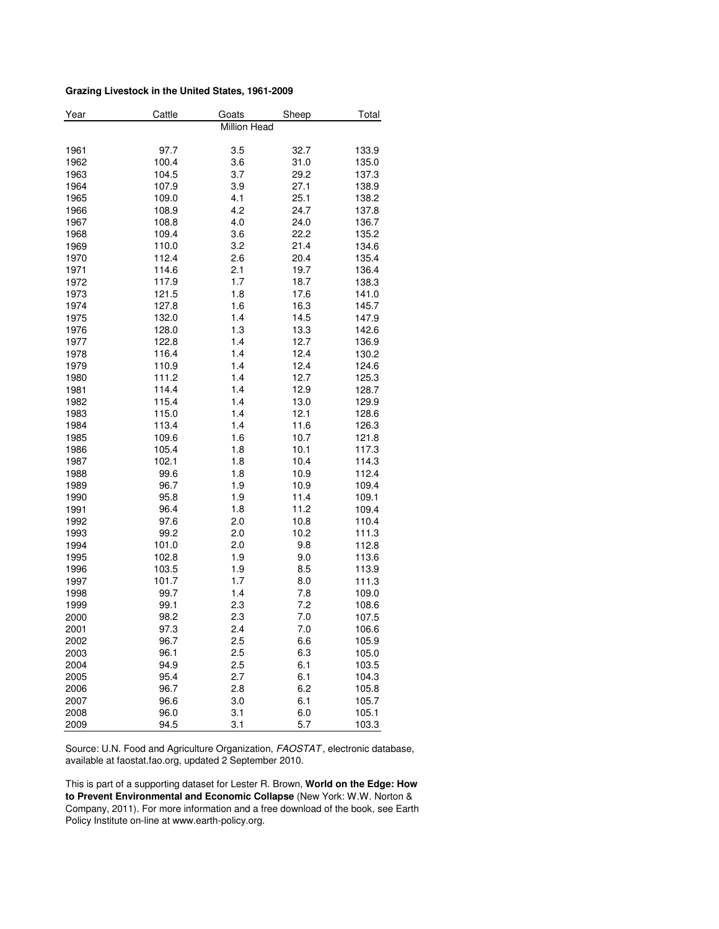#### **Grazing Livestock in the United States, 1961-2009**

| Year | Cattle | Goats        | Sheep | Total |
|------|--------|--------------|-------|-------|
|      |        | Million Head |       |       |
| 1961 | 97.7   | 3.5          | 32.7  | 133.9 |
| 1962 | 100.4  | 3.6          | 31.0  | 135.0 |
| 1963 | 104.5  | 3.7          | 29.2  | 137.3 |
| 1964 | 107.9  | 3.9          | 27.1  |       |
|      | 109.0  | 4.1          |       | 138.9 |
| 1965 |        |              | 25.1  | 138.2 |
| 1966 | 108.9  | 4.2          | 24.7  | 137.8 |
| 1967 | 108.8  | 4.0          | 24.0  | 136.7 |
| 1968 | 109.4  | 3.6          | 22.2  | 135.2 |
| 1969 | 110.0  | 3.2          | 21.4  | 134.6 |
| 1970 | 112.4  | 2.6          | 20.4  | 135.4 |
| 1971 | 114.6  | 2.1          | 19.7  | 136.4 |
| 1972 | 117.9  | 1.7          | 18.7  | 138.3 |
| 1973 | 121.5  | 1.8          | 17.6  | 141.0 |
| 1974 | 127.8  | 1.6          | 16.3  | 145.7 |
| 1975 | 132.0  | 1.4          | 14.5  | 147.9 |
| 1976 | 128.0  | 1.3          | 13.3  | 142.6 |
| 1977 | 122.8  | 1.4          | 12.7  | 136.9 |
| 1978 | 116.4  | 1.4          | 12.4  | 130.2 |
| 1979 | 110.9  | 1.4          | 12.4  | 124.6 |
| 1980 | 111.2  | 1.4          | 12.7  | 125.3 |
| 1981 | 114.4  | 1.4          | 12.9  | 128.7 |
| 1982 | 115.4  | 1.4          | 13.0  | 129.9 |
| 1983 | 115.0  | 1.4          | 12.1  | 128.6 |
| 1984 | 113.4  | 1.4          | 11.6  | 126.3 |
| 1985 | 109.6  | 1.6          | 10.7  | 121.8 |
| 1986 | 105.4  | 1.8          | 10.1  | 117.3 |
| 1987 | 102.1  | 1.8          | 10.4  | 114.3 |
| 1988 | 99.6   | 1.8          | 10.9  | 112.4 |
| 1989 | 96.7   | 1.9          | 10.9  | 109.4 |
| 1990 | 95.8   | 1.9          | 11.4  | 109.1 |
| 1991 | 96.4   | 1.8          | 11.2  | 109.4 |
| 1992 | 97.6   | 2.0          | 10.8  | 110.4 |
| 1993 | 99.2   | 2.0          | 10.2  | 111.3 |
| 1994 | 101.0  | 2.0          | 9.8   | 112.8 |
| 1995 | 102.8  | 1.9          | 9.0   | 113.6 |
| 1996 | 103.5  | 1.9          | 8.5   | 113.9 |
| 1997 | 101.7  | 1.7          | 8.0   | 111.3 |
| 1998 | 99.7   | 1.4          | 7.8   | 109.0 |
| 1999 | 99.1   | 2.3          | 7.2   | 108.6 |
| 2000 | 98.2   | 2.3          | 7.0   | 107.5 |
| 2001 | 97.3   | 2.4          | 7.0   | 106.6 |
| 2002 | 96.7   | 2.5          | 6.6   | 105.9 |
| 2003 | 96.1   | 2.5          | 6.3   | 105.0 |
| 2004 | 94.9   | 2.5          | 6.1   | 103.5 |
| 2005 | 95.4   | 2.7          | 6.1   | 104.3 |
|      | 96.7   |              |       |       |
| 2006 |        | 2.8          | 6.2   | 105.8 |
| 2007 | 96.6   | 3.0          | 6.1   | 105.7 |
| 2008 | 96.0   | 3.1          | 6.0   | 105.1 |
| 2009 | 94.5   | 3.1          | 5.7   | 103.3 |

Source: U.N. Food and Agriculture Organization, FAOSTAT, electronic database, available at faostat.fao.org, updated 2 September 2010.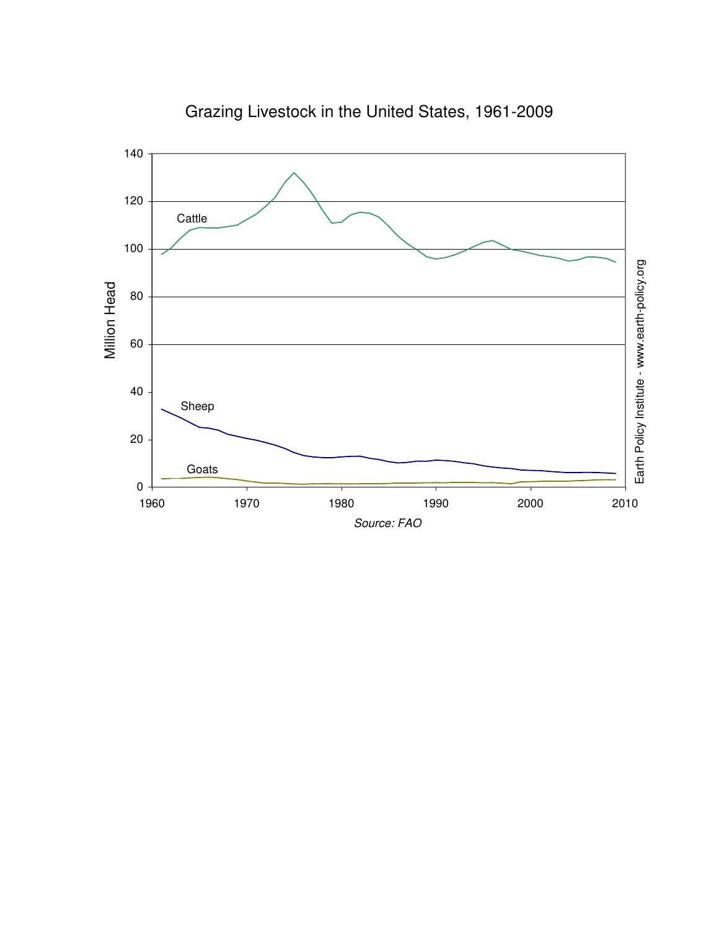

Grazing Livestock in the United States, 1961-2009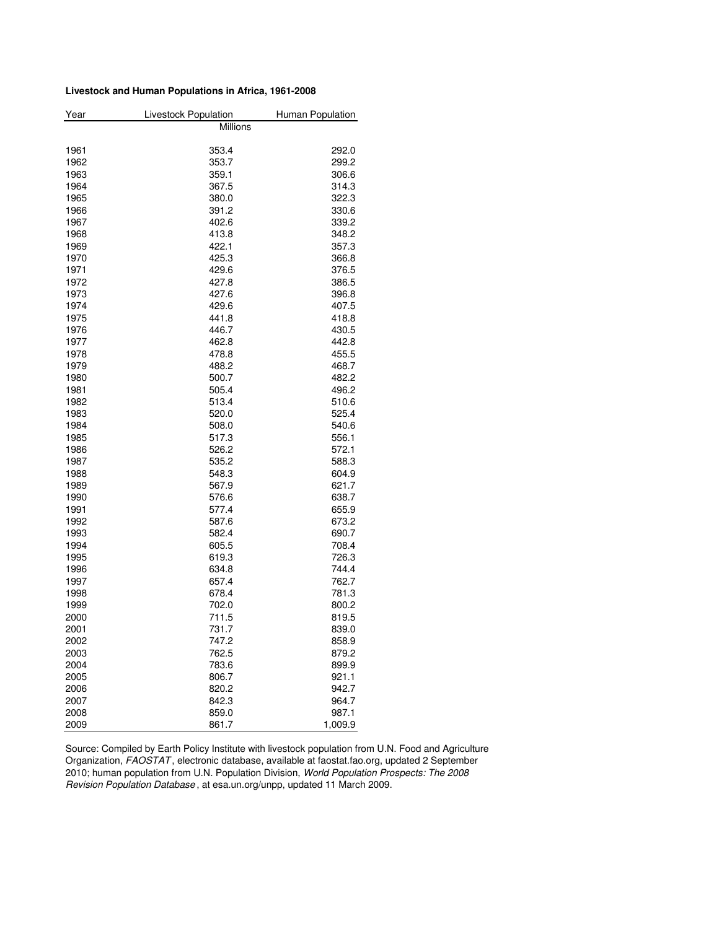#### **Livestock and Human Populations in Africa, 1961-2008**

| Year         | <b>Livestock Population</b> | Human Population |
|--------------|-----------------------------|------------------|
|              | Millions                    |                  |
|              |                             |                  |
| 1961         | 353.4                       | 292.0            |
| 1962         | 353.7                       | 299.2            |
| 1963         | 359.1                       | 306.6            |
| 1964         | 367.5                       | 314.3            |
| 1965         | 380.0                       | 322.3            |
| 1966         | 391.2                       | 330.6            |
| 1967         | 402.6                       | 339.2            |
| 1968         | 413.8                       | 348.2            |
| 1969         | 422.1                       | 357.3            |
| 1970         | 425.3                       | 366.8            |
| 1971         | 429.6                       | 376.5            |
| 1972         | 427.8                       | 386.5            |
| 1973         | 427.6                       | 396.8            |
| 1974         | 429.6                       | 407.5            |
| 1975         | 441.8                       | 418.8            |
| 1976         | 446.7                       | 430.5            |
| 1977         | 462.8                       | 442.8            |
| 1978         | 478.8                       | 455.5            |
| 1979         | 488.2                       | 468.7            |
| 1980         | 500.7                       | 482.2            |
| 1981         | 505.4                       | 496.2            |
| 1982         | 513.4                       | 510.6            |
| 1983         | 520.0                       | 525.4            |
| 1984         | 508.0                       | 540.6            |
| 1985         | 517.3                       | 556.1            |
| 1986         | 526.2                       | 572.1            |
| 1987         | 535.2                       | 588.3            |
| 1988         | 548.3                       | 604.9            |
| 1989         | 567.9                       | 621.7            |
| 1990         | 576.6                       | 638.7            |
| 1991         | 577.4                       | 655.9            |
| 1992         | 587.6                       | 673.2            |
| 1993         | 582.4                       | 690.7            |
| 1994         | 605.5                       | 708.4            |
| 1995         | 619.3                       | 726.3            |
| 1996         | 634.8                       | 744.4            |
| 1997         | 657.4                       | 762.7            |
| 1998         | 678.4                       | 781.3            |
| 1999         | 702.0                       | 800.2            |
| 2000         | 711.5                       | 819.5            |
|              |                             |                  |
| 2001<br>2002 | 731.7<br>747.2              | 839.0<br>858.9   |
|              |                             |                  |
| 2003         | 762.5                       | 879.2            |
| 2004         | 783.6<br>806.7              | 899.9            |
| 2005         |                             | 921.1            |
| 2006         | 820.2                       | 942.7            |
| 2007         | 842.3                       | 964.7            |
| 2008         | 859.0                       | 987.1            |
| 2009         | 861.7                       | 1,009.9          |

Source: Compiled by Earth Policy Institute with livestock population from U.N. Food and Agriculture Organization, FAOSTAT , electronic database, available at faostat.fao.org, updated 2 September 2010; human population from U.N. Population Division, World Population Prospects: The 2008 Revision Population Database , at esa.un.org/unpp, updated 11 March 2009.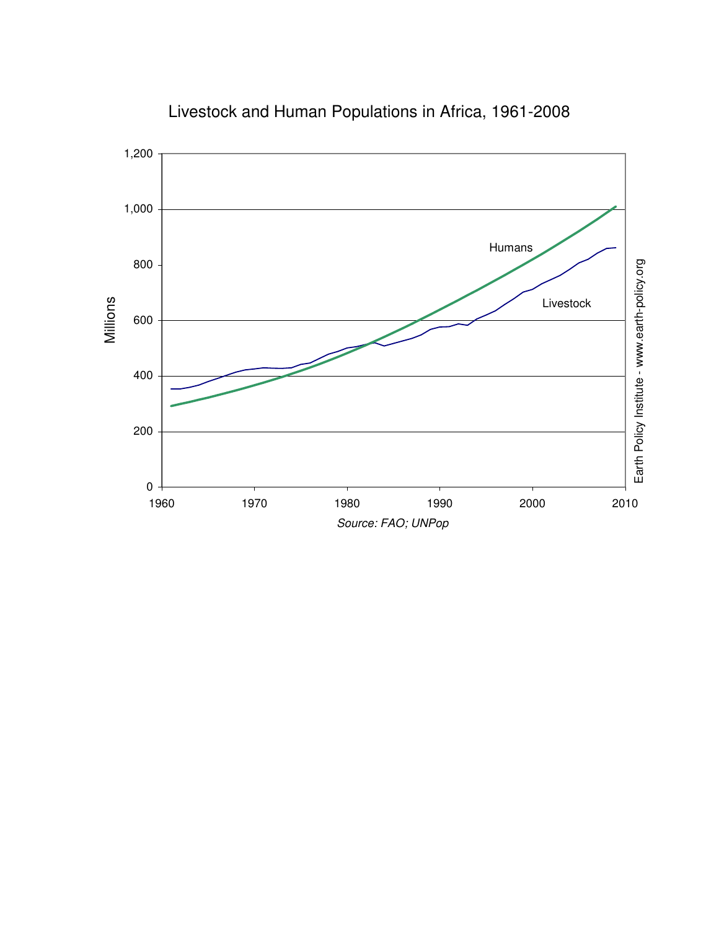

Livestock and Human Populations in Africa, 1961-2008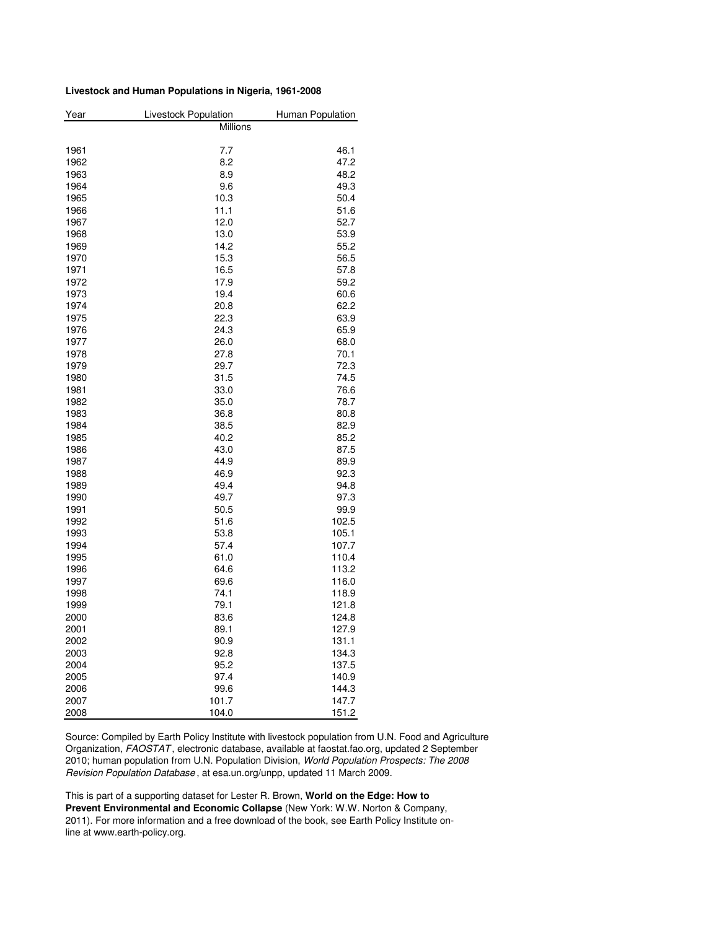#### **Livestock and Human Populations in Nigeria, 1961-2008**

| Year | Livestock Population | Human Population |
|------|----------------------|------------------|
|      | <b>Millions</b>      |                  |
|      |                      |                  |
| 1961 | 7.7                  | 46.1             |
| 1962 | 8.2                  | 47.2             |
| 1963 | 8.9                  | 48.2             |
| 1964 | 9.6                  | 49.3             |
| 1965 | 10.3                 | 50.4             |
| 1966 | 11.1                 | 51.6             |
| 1967 | 12.0                 | 52.7             |
| 1968 | 13.0                 | 53.9             |
| 1969 | 14.2                 | 55.2             |
| 1970 | 15.3                 | 56.5             |
| 1971 | 16.5                 | 57.8             |
| 1972 | 17.9                 | 59.2             |
| 1973 | 19.4                 | 60.6             |
| 1974 | 20.8                 | 62.2             |
| 1975 | 22.3                 | 63.9             |
| 1976 | 24.3                 | 65.9             |
| 1977 | 26.0                 | 68.0             |
| 1978 | 27.8                 | 70.1             |
| 1979 | 29.7                 | 72.3             |
| 1980 | 31.5                 | 74.5             |
| 1981 | 33.0                 | 76.6             |
| 1982 | 35.0                 | 78.7             |
| 1983 | 36.8                 | 80.8             |
| 1984 | 38.5                 | 82.9             |
| 1985 | 40.2                 | 85.2             |
| 1986 | 43.0                 | 87.5             |
| 1987 | 44.9                 | 89.9             |
| 1988 | 46.9                 | 92.3             |
| 1989 | 49.4                 | 94.8             |
| 1990 | 49.7                 | 97.3             |
| 1991 | 50.5                 | 99.9             |
| 1992 | 51.6                 | 102.5            |
| 1993 | 53.8                 | 105.1            |
| 1994 | 57.4                 | 107.7            |
| 1995 | 61.0                 | 110.4            |
| 1996 | 64.6                 | 113.2            |
| 1997 | 69.6                 | 116.0            |
| 1998 | 74.1                 | 118.9            |
| 1999 | 79.1                 | 121.8            |
| 2000 | 83.6                 | 124.8            |
| 2001 | 89.1                 | 127.9            |
| 2002 | 90.9                 | 131.1            |
| 2003 | 92.8                 | 134.3            |
| 2004 | 95.2                 | 137.5            |
| 2005 | 97.4                 | 140.9            |
| 2006 | 99.6                 | 144.3            |
| 2007 | 101.7                | 147.7            |
| 2008 | 104.0                | 151.2            |

Source: Compiled by Earth Policy Institute with livestock population from U.N. Food and Agriculture Organization, FAOSTAT , electronic database, available at faostat.fao.org, updated 2 September 2010; human population from U.N. Population Division, World Population Prospects: The 2008 Revision Population Database , at esa.un.org/unpp, updated 11 March 2009.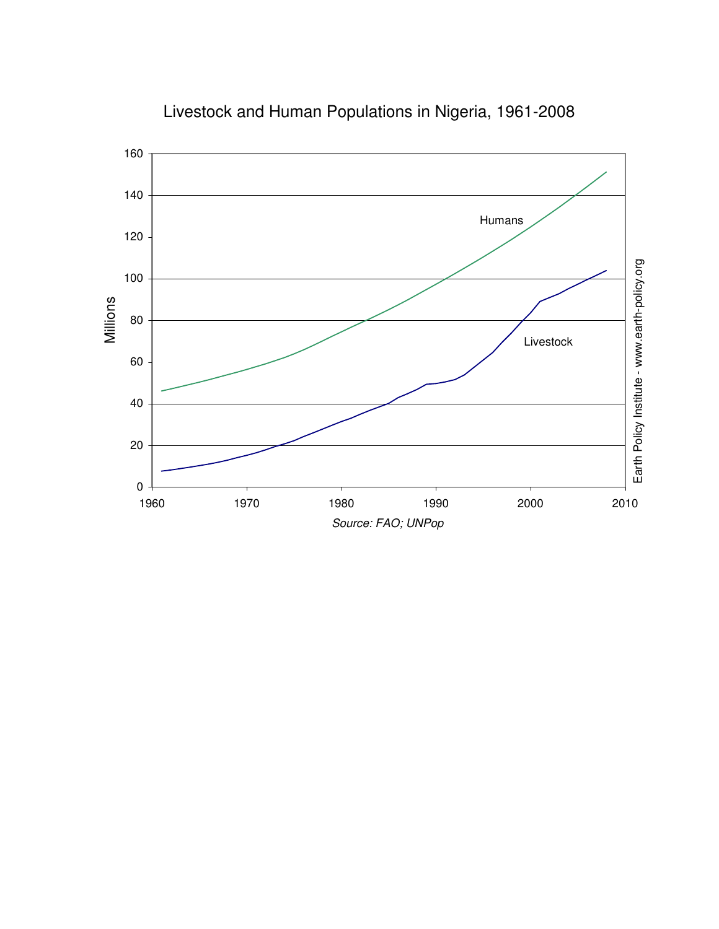

Livestock and Human Populations in Nigeria, 1961-2008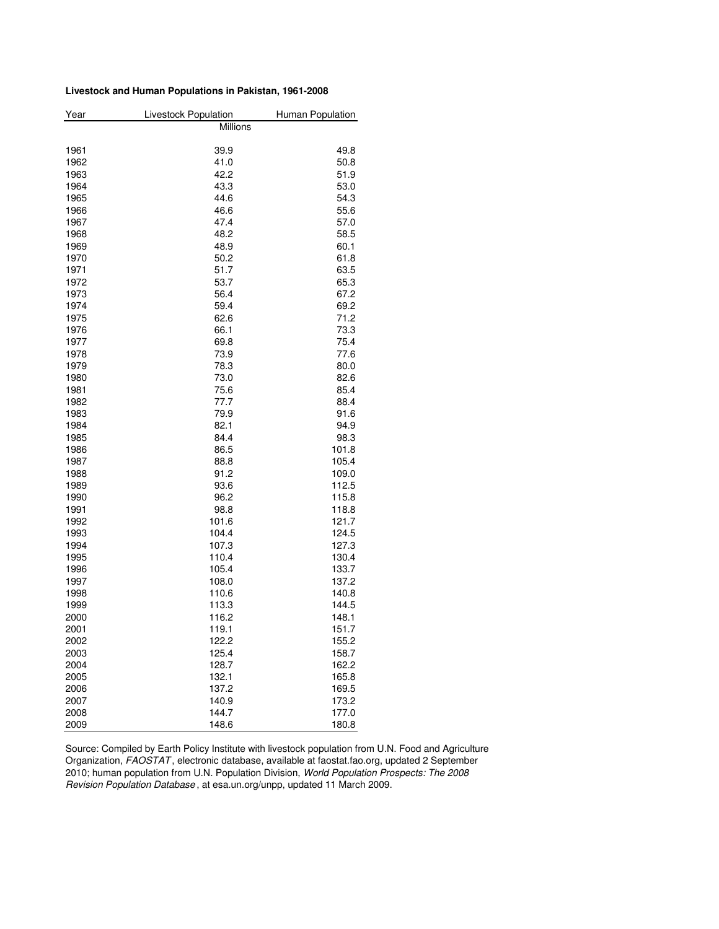#### **Livestock and Human Populations in Pakistan, 1961-2008**

| Millions<br>1961<br>39.9<br>49.8<br>1962<br>41.0<br>50.8<br>1963<br>42.2<br>51.9<br>1964<br>43.3<br>53.0<br>1965<br>44.6<br>54.3 |  |
|----------------------------------------------------------------------------------------------------------------------------------|--|
|                                                                                                                                  |  |
|                                                                                                                                  |  |
|                                                                                                                                  |  |
|                                                                                                                                  |  |
|                                                                                                                                  |  |
|                                                                                                                                  |  |
|                                                                                                                                  |  |
| 55.6<br>1966<br>46.6                                                                                                             |  |
| 1967<br>47.4<br>57.0                                                                                                             |  |
| 1968<br>48.2<br>58.5                                                                                                             |  |
| 1969<br>48.9<br>60.1                                                                                                             |  |
| 61.8<br>1970<br>50.2                                                                                                             |  |
| 51.7<br>1971<br>63.5                                                                                                             |  |
| 53.7<br>65.3<br>1972                                                                                                             |  |
| 56.4<br>1973<br>67.2                                                                                                             |  |
| 1974<br>59.4<br>69.2                                                                                                             |  |
| 62.6<br>71.2<br>1975                                                                                                             |  |
| 1976<br>66.1<br>73.3                                                                                                             |  |
| 1977<br>75.4<br>69.8                                                                                                             |  |
| 1978<br>73.9<br>77.6                                                                                                             |  |
| 1979<br>78.3<br>80.0                                                                                                             |  |
| 73.0<br>1980<br>82.6                                                                                                             |  |
| 85.4<br>1981<br>75.6                                                                                                             |  |
| 77.7<br>1982<br>88.4                                                                                                             |  |
| 79.9<br>1983<br>91.6                                                                                                             |  |
| 1984<br>82.1<br>94.9                                                                                                             |  |
| 1985<br>98.3<br>84.4                                                                                                             |  |
| 86.5<br>1986<br>101.8                                                                                                            |  |
| 1987<br>88.8<br>105.4                                                                                                            |  |
| 1988<br>91.2<br>109.0                                                                                                            |  |
| 1989<br>112.5<br>93.6                                                                                                            |  |
| 1990<br>96.2<br>115.8                                                                                                            |  |
| 1991<br>98.8<br>118.8                                                                                                            |  |
| 121.7<br>1992<br>101.6                                                                                                           |  |
| 1993<br>104.4<br>124.5                                                                                                           |  |
| 1994<br>127.3<br>107.3                                                                                                           |  |
| 1995<br>110.4<br>130.4                                                                                                           |  |
| 1996<br>105.4<br>133.7                                                                                                           |  |
| 1997<br>108.0<br>137.2                                                                                                           |  |
| 1998<br>110.6<br>140.8                                                                                                           |  |
| 1999<br>113.3<br>144.5                                                                                                           |  |
| 2000<br>116.2<br>148.1                                                                                                           |  |
| 119.1<br>151.7<br>2001                                                                                                           |  |
| 122.2<br>155.2<br>2002                                                                                                           |  |
| 125.4<br>2003<br>158.7                                                                                                           |  |
| 2004<br>128.7<br>162.2                                                                                                           |  |
| 165.8<br>2005<br>132.1                                                                                                           |  |
| 2006<br>137.2<br>169.5                                                                                                           |  |
| 2007<br>173.2<br>140.9                                                                                                           |  |
| 2008<br>144.7<br>177.0                                                                                                           |  |
| 2009<br>148.6<br>180.8                                                                                                           |  |

Source: Compiled by Earth Policy Institute with livestock population from U.N. Food and Agriculture Organization, FAOSTAT , electronic database, available at faostat.fao.org, updated 2 September 2010; human population from U.N. Population Division, World Population Prospects: The 2008 Revision Population Database , at esa.un.org/unpp, updated 11 March 2009.